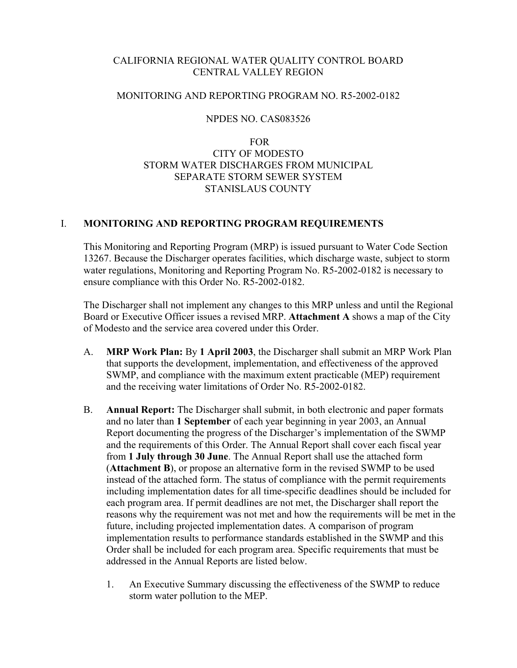# CALIFORNIA REGIONAL WATER QUALITY CONTROL BOARD CENTRAL VALLEY REGION

## MONITORING AND REPORTING PROGRAM NO. R5-2002-0182

## NPDES NO. CAS083526

# FOR CITY OF MODESTO STORM WATER DISCHARGES FROM MUNICIPAL SEPARATE STORM SEWER SYSTEM STANISLAUS COUNTY

# I. **MONITORING AND REPORTING PROGRAM REQUIREMENTS**

This Monitoring and Reporting Program (MRP) is issued pursuant to Water Code Section 13267. Because the Discharger operates facilities, which discharge waste, subject to storm water regulations, Monitoring and Reporting Program No. R5-2002-0182 is necessary to ensure compliance with this Order No. R5-2002-0182.

The Discharger shall not implement any changes to this MRP unless and until the Regional Board or Executive Officer issues a revised MRP. **Attachment A** shows a map of the City of Modesto and the service area covered under this Order.

- A. **MRP Work Plan:** By **1 April 2003**, the Discharger shall submit an MRP Work Plan that supports the development, implementation, and effectiveness of the approved SWMP, and compliance with the maximum extent practicable (MEP) requirement and the receiving water limitations of Order No. R5-2002-0182.
- B. **Annual Report:** The Discharger shall submit, in both electronic and paper formats and no later than **1 September** of each year beginning in year 2003, an Annual Report documenting the progress of the Discharger's implementation of the SWMP and the requirements of this Order. The Annual Report shall cover each fiscal year from **1 July through 30 June**. The Annual Report shall use the attached form (**Attachment B**), or propose an alternative form in the revised SWMP to be used instead of the attached form. The status of compliance with the permit requirements including implementation dates for all time-specific deadlines should be included for each program area. If permit deadlines are not met, the Discharger shall report the reasons why the requirement was not met and how the requirements will be met in the future, including projected implementation dates. A comparison of program implementation results to performance standards established in the SWMP and this Order shall be included for each program area. Specific requirements that must be addressed in the Annual Reports are listed below.
	- 1. An Executive Summary discussing the effectiveness of the SWMP to reduce storm water pollution to the MEP.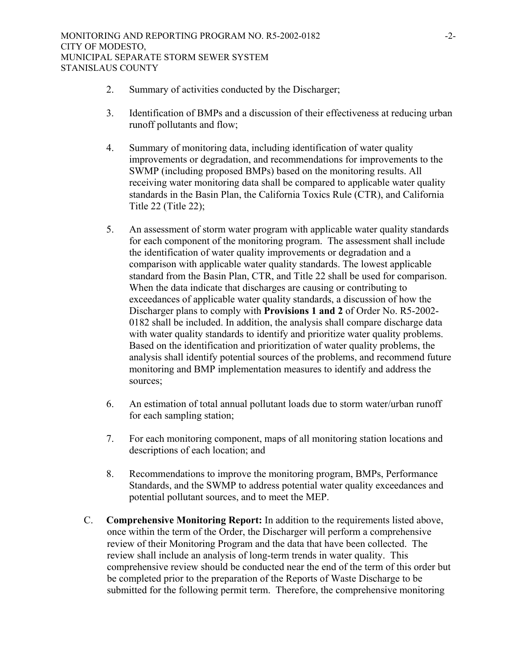- 2. Summary of activities conducted by the Discharger;
- 3. Identification of BMPs and a discussion of their effectiveness at reducing urban runoff pollutants and flow;
- 4. Summary of monitoring data, including identification of water quality improvements or degradation, and recommendations for improvements to the SWMP (including proposed BMPs) based on the monitoring results. All receiving water monitoring data shall be compared to applicable water quality standards in the Basin Plan, the California Toxics Rule (CTR), and California Title 22 (Title 22);
- 5. An assessment of storm water program with applicable water quality standards for each component of the monitoring program. The assessment shall include the identification of water quality improvements or degradation and a comparison with applicable water quality standards. The lowest applicable standard from the Basin Plan, CTR, and Title 22 shall be used for comparison. When the data indicate that discharges are causing or contributing to exceedances of applicable water quality standards, a discussion of how the Discharger plans to comply with **Provisions 1 and 2** of Order No. R5-2002- 0182 shall be included. In addition, the analysis shall compare discharge data with water quality standards to identify and prioritize water quality problems. Based on the identification and prioritization of water quality problems, the analysis shall identify potential sources of the problems, and recommend future monitoring and BMP implementation measures to identify and address the sources;
- 6. An estimation of total annual pollutant loads due to storm water/urban runoff for each sampling station;
- 7. For each monitoring component, maps of all monitoring station locations and descriptions of each location; and
- 8. Recommendations to improve the monitoring program, BMPs, Performance Standards, and the SWMP to address potential water quality exceedances and potential pollutant sources, and to meet the MEP.
- C. **Comprehensive Monitoring Report:** In addition to the requirements listed above, once within the term of the Order, the Discharger will perform a comprehensive review of their Monitoring Program and the data that have been collected. The review shall include an analysis of long-term trends in water quality. This comprehensive review should be conducted near the end of the term of this order but be completed prior to the preparation of the Reports of Waste Discharge to be submitted for the following permit term. Therefore, the comprehensive monitoring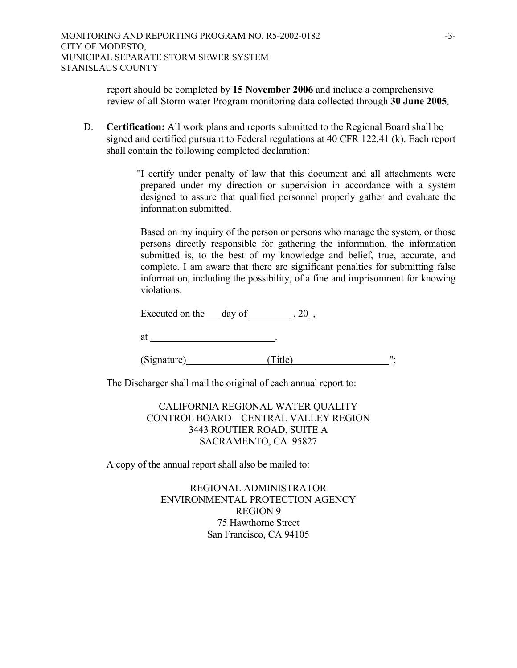report should be completed by **15 November 2006** and include a comprehensive review of all Storm water Program monitoring data collected through **30 June 2005**.

D. **Certification:** All work plans and reports submitted to the Regional Board shall be signed and certified pursuant to Federal regulations at 40 CFR 122.41 (k). Each report shall contain the following completed declaration:

> "I certify under penalty of law that this document and all attachments were prepared under my direction or supervision in accordance with a system designed to assure that qualified personnel properly gather and evaluate the information submitted.

> Based on my inquiry of the person or persons who manage the system, or those persons directly responsible for gathering the information, the information submitted is, to the best of my knowledge and belief, true, accurate, and complete. I am aware that there are significant penalties for submitting false information, including the possibility, of a fine and imprisonment for knowing violations.

Executed on the  $\_\_$  day of  $\_\_$ , 20,

at .

(Signature) (Title)  $^{\prime\prime}$ ;

The Discharger shall mail the original of each annual report to:

 CALIFORNIA REGIONAL WATER QUALITY CONTROL BOARD – CENTRAL VALLEY REGION 3443 ROUTIER ROAD, SUITE A SACRAMENTO, CA 95827

A copy of the annual report shall also be mailed to:

 REGIONAL ADMINISTRATOR ENVIRONMENTAL PROTECTION AGENCY REGION 9 75 Hawthorne Street San Francisco, CA 94105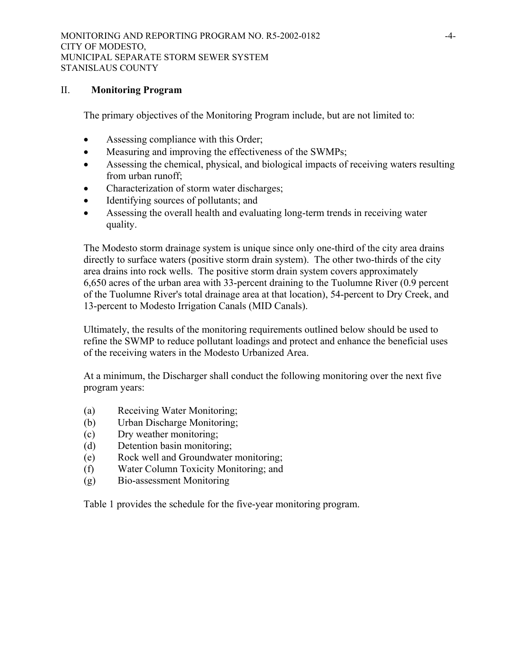#### II. **Monitoring Program**

The primary objectives of the Monitoring Program include, but are not limited to:

- Assessing compliance with this Order;
- Measuring and improving the effectiveness of the SWMPs;
- Assessing the chemical, physical, and biological impacts of receiving waters resulting from urban runoff;
- Characterization of storm water discharges;
- Identifying sources of pollutants; and
- Assessing the overall health and evaluating long-term trends in receiving water quality.

The Modesto storm drainage system is unique since only one-third of the city area drains directly to surface waters (positive storm drain system). The other two-thirds of the city area drains into rock wells. The positive storm drain system covers approximately 6,650 acres of the urban area with 33-percent draining to the Tuolumne River (0.9 percent of the Tuolumne River's total drainage area at that location), 54-percent to Dry Creek, and 13-percent to Modesto Irrigation Canals (MID Canals).

Ultimately, the results of the monitoring requirements outlined below should be used to refine the SWMP to reduce pollutant loadings and protect and enhance the beneficial uses of the receiving waters in the Modesto Urbanized Area.

At a minimum, the Discharger shall conduct the following monitoring over the next five program years:

- (a) Receiving Water Monitoring;
- (b) Urban Discharge Monitoring;
- (c) Dry weather monitoring;
- (d) Detention basin monitoring;
- (e) Rock well and Groundwater monitoring;
- (f) Water Column Toxicity Monitoring; and
- (g) Bio-assessment Monitoring

Table 1 provides the schedule for the five-year monitoring program.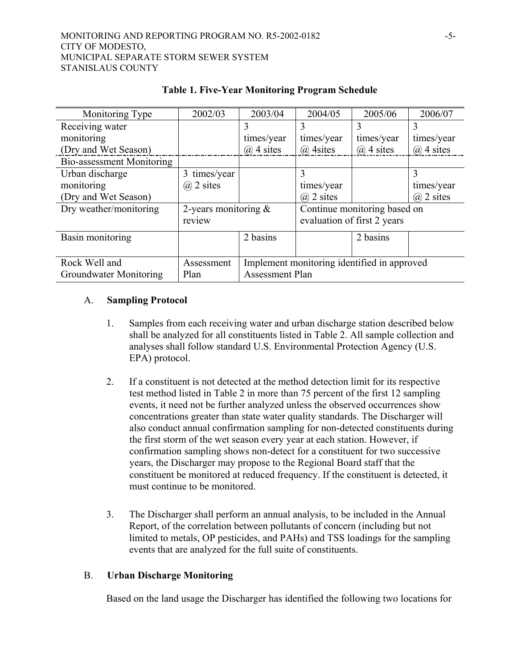| Monitoring Type           | 2002/03                 | 2003/04                                     | 2004/05                      | 2005/06       | 2006/07       |
|---------------------------|-------------------------|---------------------------------------------|------------------------------|---------------|---------------|
| Receiving water           |                         | 3                                           | 3                            | 3             | 3             |
| monitoring                |                         | times/year                                  | times/year                   | times/year    | times/year    |
| (Dry and Wet Season)      |                         | $(a)$ 4 sites                               | $(a)$ 4 sites                | $(a)$ 4 sites | $(a)$ 4 sites |
| Bio-assessment Monitoring |                         |                                             |                              |               |               |
| Urban discharge           | 3 times/year            |                                             | 3                            |               | 3             |
| monitoring                | $(a)$ 2 sites           |                                             | times/year                   |               | times/year    |
| (Dry and Wet Season)      |                         |                                             | $(a)$ 2 sites                |               | $(a)$ 2 sites |
| Dry weather/monitoring    | 2-years monitoring $\&$ |                                             | Continue monitoring based on |               |               |
|                           | review                  |                                             | evaluation of first 2 years  |               |               |
| Basin monitoring          |                         | 2 basins                                    |                              | 2 basins      |               |
|                           |                         |                                             |                              |               |               |
| Rock Well and             | Assessment              | Implement monitoring identified in approved |                              |               |               |
| Groundwater Monitoring    | Plan                    | <b>Assessment Plan</b>                      |                              |               |               |

# **Table 1. Five-Year Monitoring Program Schedule**

# A. **Sampling Protocol**

- 1. Samples from each receiving water and urban discharge station described below shall be analyzed for all constituents listed in Table 2. All sample collection and analyses shall follow standard U.S. Environmental Protection Agency (U.S. EPA) protocol.
- 2. If a constituent is not detected at the method detection limit for its respective test method listed in Table 2 in more than 75 percent of the first 12 sampling events, it need not be further analyzed unless the observed occurrences show concentrations greater than state water quality standards. The Discharger will also conduct annual confirmation sampling for non-detected constituents during the first storm of the wet season every year at each station. However, if confirmation sampling shows non-detect for a constituent for two successive years, the Discharger may propose to the Regional Board staff that the constituent be monitored at reduced frequency. If the constituent is detected, it must continue to be monitored.
- 3. The Discharger shall perform an annual analysis, to be included in the Annual Report, of the correlation between pollutants of concern (including but not limited to metals, OP pesticides, and PAHs) and TSS loadings for the sampling events that are analyzed for the full suite of constituents.

### B. **Urban Discharge Monitoring**

Based on the land usage the Discharger has identified the following two locations for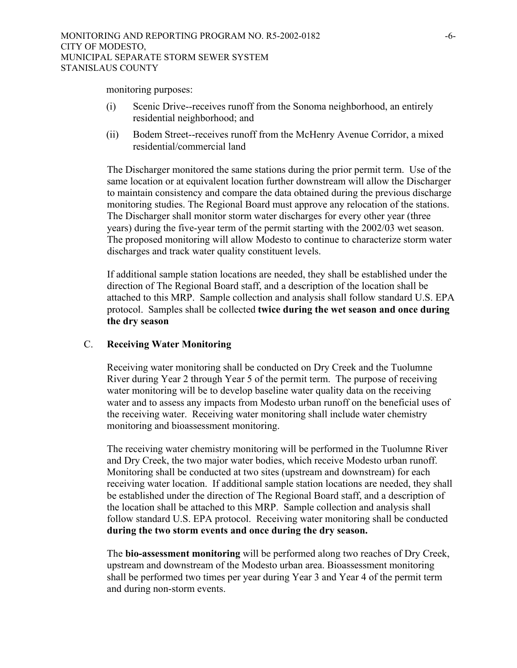monitoring purposes:

- (i) Scenic Drive--receives runoff from the Sonoma neighborhood, an entirely residential neighborhood; and
- (ii) Bodem Street--receives runoff from the McHenry Avenue Corridor, a mixed residential/commercial land

The Discharger monitored the same stations during the prior permit term. Use of the same location or at equivalent location further downstream will allow the Discharger to maintain consistency and compare the data obtained during the previous discharge monitoring studies. The Regional Board must approve any relocation of the stations. The Discharger shall monitor storm water discharges for every other year (three years) during the five-year term of the permit starting with the 2002/03 wet season. The proposed monitoring will allow Modesto to continue to characterize storm water discharges and track water quality constituent levels.

If additional sample station locations are needed, they shall be established under the direction of The Regional Board staff, and a description of the location shall be attached to this MRP. Sample collection and analysis shall follow standard U.S. EPA protocol. Samples shall be collected **twice during the wet season and once during the dry season**

### C. **Receiving Water Monitoring**

Receiving water monitoring shall be conducted on Dry Creek and the Tuolumne River during Year 2 through Year 5 of the permit term. The purpose of receiving water monitoring will be to develop baseline water quality data on the receiving water and to assess any impacts from Modesto urban runoff on the beneficial uses of the receiving water. Receiving water monitoring shall include water chemistry monitoring and bioassessment monitoring.

The receiving water chemistry monitoring will be performed in the Tuolumne River and Dry Creek, the two major water bodies, which receive Modesto urban runoff. Monitoring shall be conducted at two sites (upstream and downstream) for each receiving water location. If additional sample station locations are needed, they shall be established under the direction of The Regional Board staff, and a description of the location shall be attached to this MRP. Sample collection and analysis shall follow standard U.S. EPA protocol. Receiving water monitoring shall be conducted **during the two storm events and once during the dry season.** 

The **bio-assessment monitoring** will be performed along two reaches of Dry Creek, upstream and downstream of the Modesto urban area. Bioassessment monitoring shall be performed two times per year during Year 3 and Year 4 of the permit term and during non-storm events.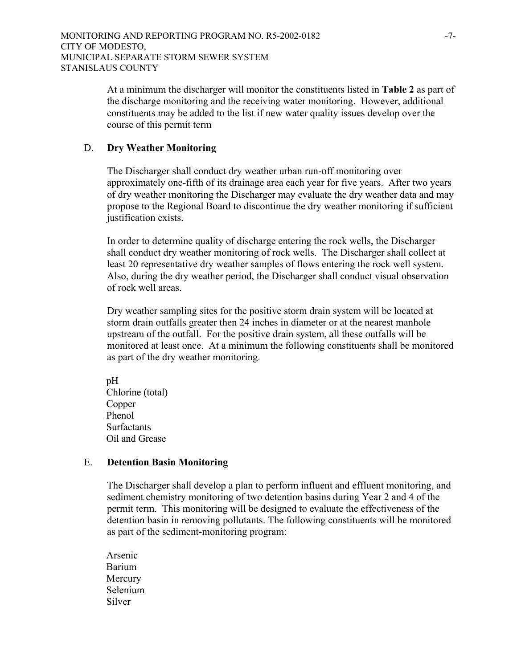At a minimum the discharger will monitor the constituents listed in **Table 2** as part of the discharge monitoring and the receiving water monitoring. However, additional constituents may be added to the list if new water quality issues develop over the course of this permit term

### D. **Dry Weather Monitoring**

The Discharger shall conduct dry weather urban run-off monitoring over approximately one-fifth of its drainage area each year for five years. After two years of dry weather monitoring the Discharger may evaluate the dry weather data and may propose to the Regional Board to discontinue the dry weather monitoring if sufficient justification exists.

In order to determine quality of discharge entering the rock wells, the Discharger shall conduct dry weather monitoring of rock wells. The Discharger shall collect at least 20 representative dry weather samples of flows entering the rock well system. Also, during the dry weather period, the Discharger shall conduct visual observation of rock well areas.

Dry weather sampling sites for the positive storm drain system will be located at storm drain outfalls greater then 24 inches in diameter or at the nearest manhole upstream of the outfall. For the positive drain system, all these outfalls will be monitored at least once. At a minimum the following constituents shall be monitored as part of the dry weather monitoring.

 pH Chlorine (total) Copper Phenol **Surfactants** Oil and Grease

### E. **Detention Basin Monitoring**

The Discharger shall develop a plan to perform influent and effluent monitoring, and sediment chemistry monitoring of two detention basins during Year 2 and 4 of the permit term. This monitoring will be designed to evaluate the effectiveness of the detention basin in removing pollutants. The following constituents will be monitored as part of the sediment-monitoring program:

Arsenic Barium **Mercury** Selenium Silver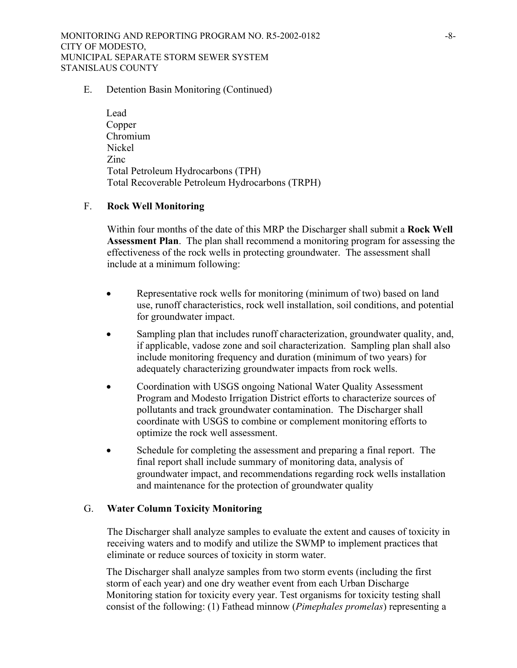MONITORING AND REPORTING PROGRAM NO. R5-2002-0182 -8- CITY OF MODESTO, MUNICIPAL SEPARATE STORM SEWER SYSTEM STANISLAUS COUNTY

#### E. Detention Basin Monitoring (Continued)

Lead Copper Chromium Nickel Zinc Total Petroleum Hydrocarbons (TPH) Total Recoverable Petroleum Hydrocarbons (TRPH)

#### F. **Rock Well Monitoring**

Within four months of the date of this MRP the Discharger shall submit a **Rock Well Assessment Plan**. The plan shall recommend a monitoring program for assessing the effectiveness of the rock wells in protecting groundwater. The assessment shall include at a minimum following:

- Representative rock wells for monitoring (minimum of two) based on land use, runoff characteristics, rock well installation, soil conditions, and potential for groundwater impact.
- Sampling plan that includes runoff characterization, groundwater quality, and, if applicable, vadose zone and soil characterization. Sampling plan shall also include monitoring frequency and duration (minimum of two years) for adequately characterizing groundwater impacts from rock wells.
- Coordination with USGS ongoing National Water Quality Assessment Program and Modesto Irrigation District efforts to characterize sources of pollutants and track groundwater contamination. The Discharger shall coordinate with USGS to combine or complement monitoring efforts to optimize the rock well assessment.
- Schedule for completing the assessment and preparing a final report. The final report shall include summary of monitoring data, analysis of groundwater impact, and recommendations regarding rock wells installation and maintenance for the protection of groundwater quality

### G. **Water Column Toxicity Monitoring**

The Discharger shall analyze samples to evaluate the extent and causes of toxicity in receiving waters and to modify and utilize the SWMP to implement practices that eliminate or reduce sources of toxicity in storm water.

The Discharger shall analyze samples from two storm events (including the first storm of each year) and one dry weather event from each Urban Discharge Monitoring station for toxicity every year. Test organisms for toxicity testing shall consist of the following: (1) Fathead minnow (*Pimephales promelas*) representing a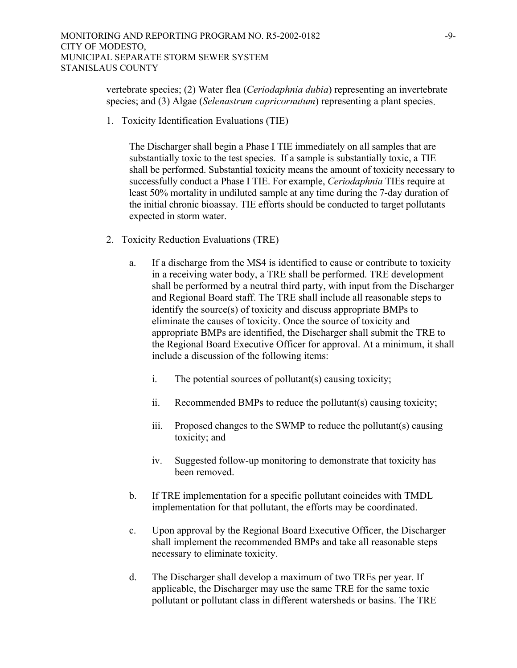vertebrate species; (2) Water flea (*Ceriodaphnia dubia*) representing an invertebrate species; and (3) Algae (*Selenastrum capricornutum*) representing a plant species.

1. Toxicity Identification Evaluations (TIE)

The Discharger shall begin a Phase I TIE immediately on all samples that are substantially toxic to the test species. If a sample is substantially toxic, a TIE shall be performed. Substantial toxicity means the amount of toxicity necessary to successfully conduct a Phase I TIE. For example, *Ceriodaphnia* TIEs require at least 50% mortality in undiluted sample at any time during the 7-day duration of the initial chronic bioassay. TIE efforts should be conducted to target pollutants expected in storm water.

- 2. Toxicity Reduction Evaluations (TRE)
	- a. If a discharge from the MS4 is identified to cause or contribute to toxicity in a receiving water body, a TRE shall be performed. TRE development shall be performed by a neutral third party, with input from the Discharger and Regional Board staff. The TRE shall include all reasonable steps to identify the source(s) of toxicity and discuss appropriate BMPs to eliminate the causes of toxicity. Once the source of toxicity and appropriate BMPs are identified, the Discharger shall submit the TRE to the Regional Board Executive Officer for approval. At a minimum, it shall include a discussion of the following items:
		- i. The potential sources of pollutant(s) causing toxicity;
		- ii. Recommended BMPs to reduce the pollutant(s) causing toxicity;
		- iii. Proposed changes to the SWMP to reduce the pollutant(s) causing toxicity; and
		- iv. Suggested follow-up monitoring to demonstrate that toxicity has been removed.
	- b. If TRE implementation for a specific pollutant coincides with TMDL implementation for that pollutant, the efforts may be coordinated.
	- c. Upon approval by the Regional Board Executive Officer, the Discharger shall implement the recommended BMPs and take all reasonable steps necessary to eliminate toxicity.
	- d. The Discharger shall develop a maximum of two TREs per year. If applicable, the Discharger may use the same TRE for the same toxic pollutant or pollutant class in different watersheds or basins. The TRE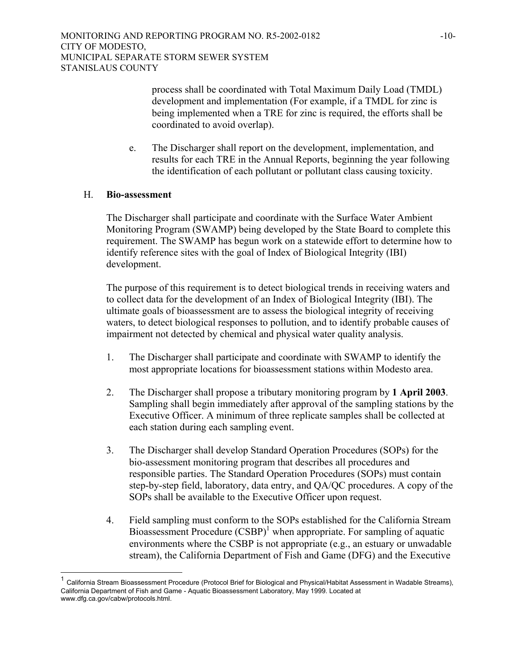process shall be coordinated with Total Maximum Daily Load (TMDL) development and implementation (For example, if a TMDL for zinc is being implemented when a TRE for zinc is required, the efforts shall be coordinated to avoid overlap).

e. The Discharger shall report on the development, implementation, and results for each TRE in the Annual Reports, beginning the year following the identification of each pollutant or pollutant class causing toxicity.

#### H. **Bio-assessment**

 $\overline{a}$ 

The Discharger shall participate and coordinate with the Surface Water Ambient Monitoring Program (SWAMP) being developed by the State Board to complete this requirement. The SWAMP has begun work on a statewide effort to determine how to identify reference sites with the goal of Index of Biological Integrity (IBI) development.

The purpose of this requirement is to detect biological trends in receiving waters and to collect data for the development of an Index of Biological Integrity (IBI). The ultimate goals of bioassessment are to assess the biological integrity of receiving waters, to detect biological responses to pollution, and to identify probable causes of impairment not detected by chemical and physical water quality analysis.

- 1. The Discharger shall participate and coordinate with SWAMP to identify the most appropriate locations for bioassessment stations within Modesto area.
- 2. The Discharger shall propose a tributary monitoring program by **1 April 2003**. Sampling shall begin immediately after approval of the sampling stations by the Executive Officer. A minimum of three replicate samples shall be collected at each station during each sampling event.
- 3. The Discharger shall develop Standard Operation Procedures (SOPs) for the bio-assessment monitoring program that describes all procedures and responsible parties. The Standard Operation Procedures (SOPs) must contain step-by-step field, laboratory, data entry, and QA/QC procedures. A copy of the SOPs shall be available to the Executive Officer upon request.
- 4. Field sampling must conform to the SOPs established for the California Stream Bioassessment Procedure (CSBP)<sup>[1](#page-9-0)</sup> when appropriate. For sampling of aquatic environments where the CSBP is not appropriate (e.g., an estuary or unwadable stream), the California Department of Fish and Game (DFG) and the Executive

<span id="page-9-0"></span><sup>1</sup> California Stream Bioassessment Procedure (Protocol Brief for Biological and Physical/Habitat Assessment in Wadable Streams), California Department of Fish and Game - Aquatic Bioassessment Laboratory, May 1999. Located at www.dfg.ca.gov/cabw/protocols.html.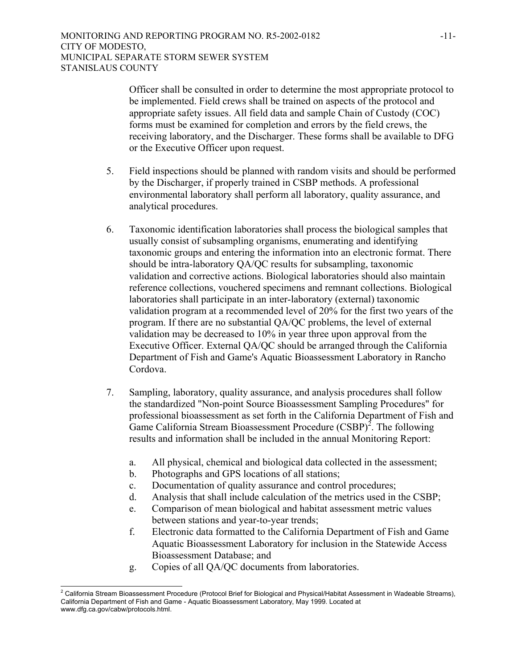Officer shall be consulted in order to determine the most appropriate protocol to be implemented. Field crews shall be trained on aspects of the protocol and appropriate safety issues. All field data and sample Chain of Custody (COC) forms must be examined for completion and errors by the field crews, the receiving laboratory, and the Discharger. These forms shall be available to DFG or the Executive Officer upon request.

- 5. Field inspections should be planned with random visits and should be performed by the Discharger, if properly trained in CSBP methods. A professional environmental laboratory shall perform all laboratory, quality assurance, and analytical procedures.
- 6. Taxonomic identification laboratories shall process the biological samples that usually consist of subsampling organisms, enumerating and identifying taxonomic groups and entering the information into an electronic format. There should be intra-laboratory QA/QC results for subsampling, taxonomic validation and corrective actions. Biological laboratories should also maintain reference collections, vouchered specimens and remnant collections. Biological laboratories shall participate in an inter-laboratory (external) taxonomic validation program at a recommended level of 20% for the first two years of the program. If there are no substantial QA/QC problems, the level of external validation may be decreased to 10% in year three upon approval from the Executive Officer. External QA/QC should be arranged through the California Department of Fish and Game's Aquatic Bioassessment Laboratory in Rancho Cordova.
- 7. Sampling, laboratory, quality assurance, and analysis procedures shall follow the standardized "Non-point Source Bioassessment Sampling Procedures" for professional bioassessment as set forth in the California Department of Fish and Game California Stream Bioassessment Procedure  $(CSBP)^2$  $(CSBP)^2$ . The following results and information shall be included in the annual Monitoring Report:
	- a. All physical, chemical and biological data collected in the assessment;
	- b. Photographs and GPS locations of all stations;
	- c. Documentation of quality assurance and control procedures;
	- d. Analysis that shall include calculation of the metrics used in the CSBP;
	- e. Comparison of mean biological and habitat assessment metric values between stations and year-to-year trends;
	- f. Electronic data formatted to the California Department of Fish and Game Aquatic Bioassessment Laboratory for inclusion in the Statewide Access Bioassessment Database; and
	- g. Copies of all QA/QC documents from laboratories.

<span id="page-10-0"></span> 2 California Stream Bioassessment Procedure (Protocol Brief for Biological and Physical/Habitat Assessment in Wadeable Streams), California Department of Fish and Game - Aquatic Bioassessment Laboratory, May 1999. Located at www.dfg.ca.gov/cabw/protocols.html.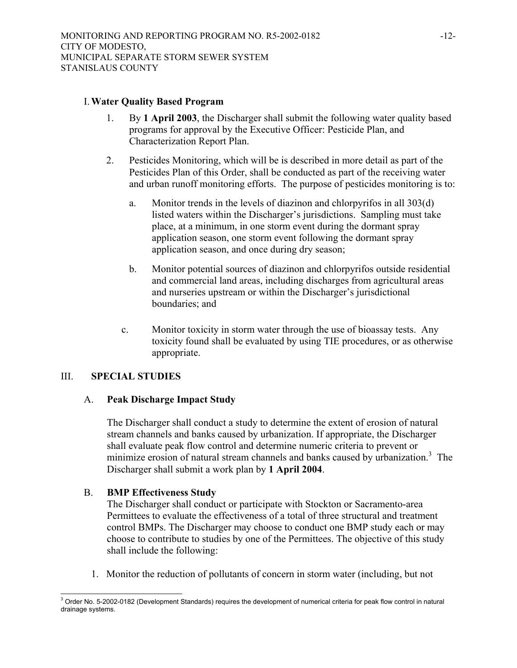#### I. **Water Quality Based Program**

- 1. By **1 April 2003**, the Discharger shall submit the following water quality based programs for approval by the Executive Officer: Pesticide Plan, and Characterization Report Plan.
- 2. Pesticides Monitoring, which will be is described in more detail as part of the Pesticides Plan of this Order, shall be conducted as part of the receiving water and urban runoff monitoring efforts. The purpose of pesticides monitoring is to:
	- a. Monitor trends in the levels of diazinon and chlorpyrifos in all 303(d) listed waters within the Discharger's jurisdictions. Sampling must take place, at a minimum, in one storm event during the dormant spray application season, one storm event following the dormant spray application season, and once during dry season;
	- b. Monitor potential sources of diazinon and chlorpyrifos outside residential and commercial land areas, including discharges from agricultural areas and nurseries upstream or within the Discharger's jurisdictional boundaries; and
	- c. Monitor toxicity in storm water through the use of bioassay tests. Any toxicity found shall be evaluated by using TIE procedures, or as otherwise appropriate.

### III. **SPECIAL STUDIES**

### A. **Peak Discharge Impact Study**

The Discharger shall conduct a study to determine the extent of erosion of natural stream channels and banks caused by urbanization. If appropriate, the Discharger shall evaluate peak flow control and determine numeric criteria to prevent or minimize erosion of natural stream channels and banks caused by urbanization.<sup>3</sup> The Discharger shall submit a work plan by **1 April 2004**.

# B. **BMP Effectiveness Study**

The Discharger shall conduct or participate with Stockton or Sacramento-area Permittees to evaluate the effectiveness of a total of three structural and treatment control BMPs. The Discharger may choose to conduct one BMP study each or may choose to contribute to studies by one of the Permittees. The objective of this study shall include the following:

1. Monitor the reduction of pollutants of concern in storm water (including, but not

<span id="page-11-0"></span> $\overline{a}$  $3$  Order No. 5-2002-0182 (Development Standards) requires the development of numerical criteria for peak flow control in natural drainage systems.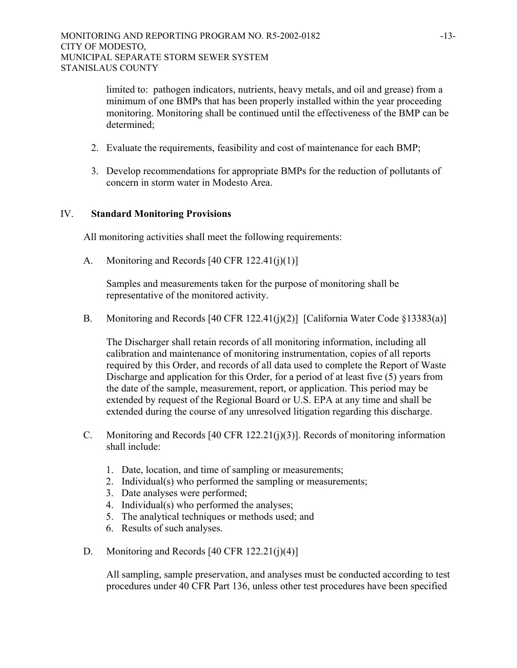limited to: pathogen indicators, nutrients, heavy metals, and oil and grease) from a minimum of one BMPs that has been properly installed within the year proceeding monitoring. Monitoring shall be continued until the effectiveness of the BMP can be determined;

- 2. Evaluate the requirements, feasibility and cost of maintenance for each BMP;
- 3. Develop recommendations for appropriate BMPs for the reduction of pollutants of concern in storm water in Modesto Area.

#### IV. **Standard Monitoring Provisions**

All monitoring activities shall meet the following requirements:

A. Monitoring and Records [40 CFR 122.41(j)(1)]

Samples and measurements taken for the purpose of monitoring shall be representative of the monitored activity.

B. Monitoring and Records [40 CFR 122.41(j)(2)] [California Water Code §13383(a)]

The Discharger shall retain records of all monitoring information, including all calibration and maintenance of monitoring instrumentation, copies of all reports required by this Order, and records of all data used to complete the Report of Waste Discharge and application for this Order, for a period of at least five (5) years from the date of the sample, measurement, report, or application. This period may be extended by request of the Regional Board or U.S. EPA at any time and shall be extended during the course of any unresolved litigation regarding this discharge.

- C. Monitoring and Records [40 CFR 122.21(j)(3)]. Records of monitoring information shall include:
	- 1. Date, location, and time of sampling or measurements;
	- 2. Individual(s) who performed the sampling or measurements;
	- 3. Date analyses were performed;
	- 4. Individual(s) who performed the analyses;
	- 5. The analytical techniques or methods used; and
	- 6. Results of such analyses.
- D. Monitoring and Records  $[40 \text{ CFR } 122.21(i)(4)]$

All sampling, sample preservation, and analyses must be conducted according to test procedures under 40 CFR Part 136, unless other test procedures have been specified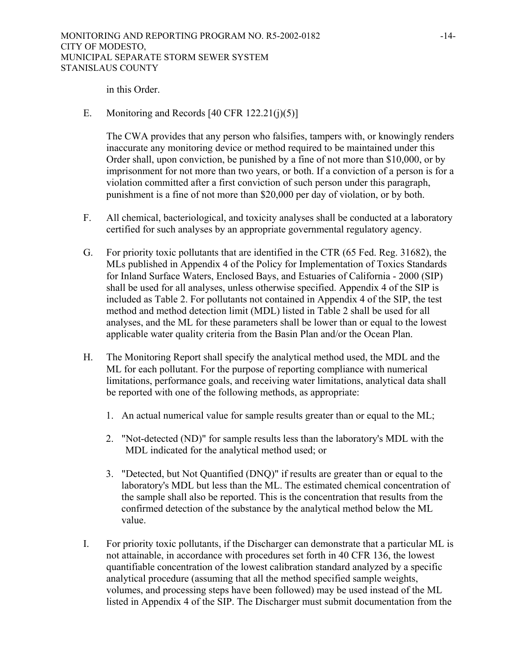in this Order.

E. Monitoring and Records  $[40 \text{ CFR } 122.21(j)(5)]$ 

The CWA provides that any person who falsifies, tampers with, or knowingly renders inaccurate any monitoring device or method required to be maintained under this Order shall, upon conviction, be punished by a fine of not more than \$10,000, or by imprisonment for not more than two years, or both. If a conviction of a person is for a violation committed after a first conviction of such person under this paragraph, punishment is a fine of not more than \$20,000 per day of violation, or by both.

- F. All chemical, bacteriological, and toxicity analyses shall be conducted at a laboratory certified for such analyses by an appropriate governmental regulatory agency.
- G. For priority toxic pollutants that are identified in the CTR (65 Fed. Reg. 31682), the MLs published in Appendix 4 of the Policy for Implementation of Toxics Standards for Inland Surface Waters, Enclosed Bays, and Estuaries of California - 2000 (SIP) shall be used for all analyses, unless otherwise specified. Appendix 4 of the SIP is included as Table 2. For pollutants not contained in Appendix 4 of the SIP, the test method and method detection limit (MDL) listed in Table 2 shall be used for all analyses, and the ML for these parameters shall be lower than or equal to the lowest applicable water quality criteria from the Basin Plan and/or the Ocean Plan.
- H. The Monitoring Report shall specify the analytical method used, the MDL and the ML for each pollutant. For the purpose of reporting compliance with numerical limitations, performance goals, and receiving water limitations, analytical data shall be reported with one of the following methods, as appropriate:
	- 1. An actual numerical value for sample results greater than or equal to the ML;
	- 2. "Not-detected (ND)" for sample results less than the laboratory's MDL with the MDL indicated for the analytical method used; or
	- 3. "Detected, but Not Quantified (DNQ)" if results are greater than or equal to the laboratory's MDL but less than the ML. The estimated chemical concentration of the sample shall also be reported. This is the concentration that results from the confirmed detection of the substance by the analytical method below the ML value.
- I. For priority toxic pollutants, if the Discharger can demonstrate that a particular ML is not attainable, in accordance with procedures set forth in 40 CFR 136, the lowest quantifiable concentration of the lowest calibration standard analyzed by a specific analytical procedure (assuming that all the method specified sample weights, volumes, and processing steps have been followed) may be used instead of the ML listed in Appendix 4 of the SIP. The Discharger must submit documentation from the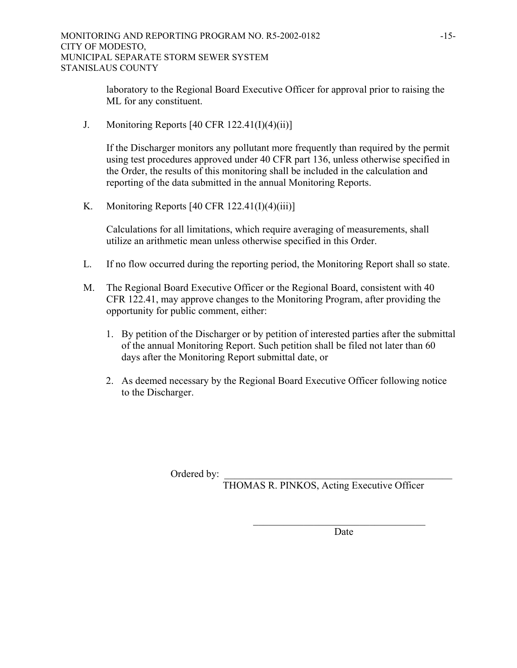laboratory to the Regional Board Executive Officer for approval prior to raising the ML for any constituent.

J. Monitoring Reports  $[40 \text{ CFR } 122.41 \text{ (I)}(4) \text{ (ii)}]$ 

If the Discharger monitors any pollutant more frequently than required by the permit using test procedures approved under 40 CFR part 136, unless otherwise specified in the Order, the results of this monitoring shall be included in the calculation and reporting of the data submitted in the annual Monitoring Reports.

K. Monitoring Reports  $[40 \text{ CFR } 122.41 \text{ (I)} \text{ (4)} \text{ (iii)}]$ 

Calculations for all limitations, which require averaging of measurements, shall utilize an arithmetic mean unless otherwise specified in this Order.

- L. If no flow occurred during the reporting period, the Monitoring Report shall so state.
- M. The Regional Board Executive Officer or the Regional Board, consistent with 40 CFR 122.41, may approve changes to the Monitoring Program, after providing the opportunity for public comment, either:
	- 1. By petition of the Discharger or by petition of interested parties after the submittal of the annual Monitoring Report. Such petition shall be filed not later than 60 days after the Monitoring Report submittal date, or
	- 2. As deemed necessary by the Regional Board Executive Officer following notice to the Discharger.

 $\mathcal{L}_\text{max}$  and  $\mathcal{L}_\text{max}$  and  $\mathcal{L}_\text{max}$  and  $\mathcal{L}_\text{max}$  and  $\mathcal{L}_\text{max}$ 

Ordered by:

THOMAS R. PINKOS, Acting Executive Officer

**Date**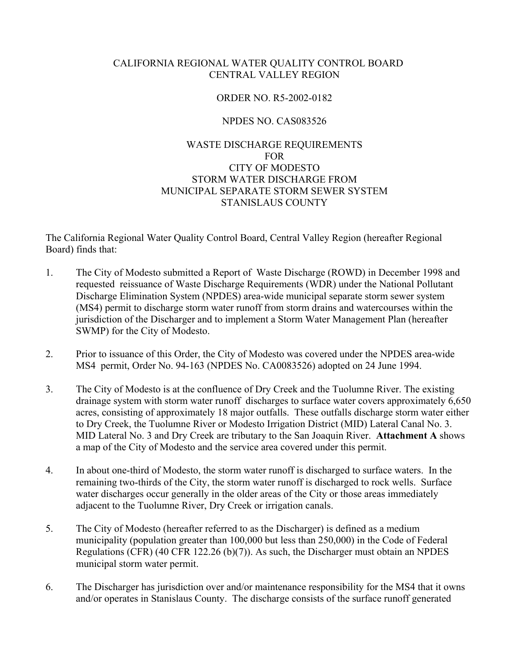# CALIFORNIA REGIONAL WATER QUALITY CONTROL BOARD CENTRAL VALLEY REGION

### ORDER NO. R5-2002-0182

## NPDES NO. CAS083526

# WASTE DISCHARGE REQUIREMENTS FOR CITY OF MODESTO STORM WATER DISCHARGE FROM MUNICIPAL SEPARATE STORM SEWER SYSTEM STANISLAUS COUNTY

The California Regional Water Quality Control Board, Central Valley Region (hereafter Regional Board) finds that:

- 1. The City of Modesto submitted a Report of Waste Discharge (ROWD) in December 1998 and requested reissuance of Waste Discharge Requirements (WDR) under the National Pollutant Discharge Elimination System (NPDES) area-wide municipal separate storm sewer system (MS4) permit to discharge storm water runoff from storm drains and watercourses within the jurisdiction of the Discharger and to implement a Storm Water Management Plan (hereafter SWMP) for the City of Modesto.
- 2. Prior to issuance of this Order, the City of Modesto was covered under the NPDES area-wide MS4 permit, Order No. 94-163 (NPDES No. CA0083526) adopted on 24 June 1994.
- 3. The City of Modesto is at the confluence of Dry Creek and the Tuolumne River. The existing drainage system with storm water runoff discharges to surface water covers approximately 6,650 acres, consisting of approximately 18 major outfalls. These outfalls discharge storm water either to Dry Creek, the Tuolumne River or Modesto Irrigation District (MID) Lateral Canal No. 3. MID Lateral No. 3 and Dry Creek are tributary to the San Joaquin River. **Attachment A** shows a map of the City of Modesto and the service area covered under this permit.
- 4. In about one-third of Modesto, the storm water runoff is discharged to surface waters. In the remaining two-thirds of the City, the storm water runoff is discharged to rock wells. Surface water discharges occur generally in the older areas of the City or those areas immediately adjacent to the Tuolumne River, Dry Creek or irrigation canals.
- 5. The City of Modesto (hereafter referred to as the Discharger) is defined as a medium municipality (population greater than 100,000 but less than 250,000) in the Code of Federal Regulations (CFR) (40 CFR 122.26 (b)(7)). As such, the Discharger must obtain an NPDES municipal storm water permit.
- 6. The Discharger has jurisdiction over and/or maintenance responsibility for the MS4 that it owns and/or operates in Stanislaus County. The discharge consists of the surface runoff generated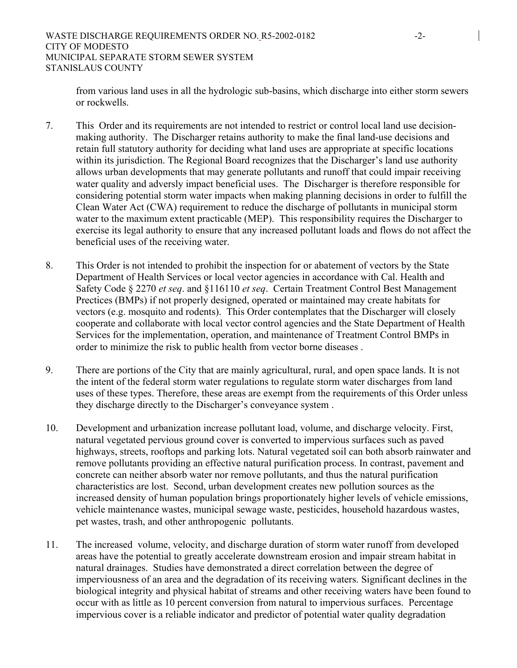from various land uses in all the hydrologic sub-basins, which discharge into either storm sewers or rockwells.

- 7. This Order and its requirements are not intended to restrict or control local land use decisionmaking authority. The Discharger retains authority to make the final land-use decisions and retain full statutory authority for deciding what land uses are appropriate at specific locations within its jurisdiction. The Regional Board recognizes that the Discharger's land use authority allows urban developments that may generate pollutants and runoff that could impair receiving water quality and adversly impact beneficial uses. The Discharger is therefore responsible for considering potential storm water impacts when making planning decisions in order to fulfill the Clean Water Act (CWA) requirement to reduce the discharge of pollutants in municipal storm water to the maximum extent practicable (MEP). This responsibility requires the Discharger to exercise its legal authority to ensure that any increased pollutant loads and flows do not affect the beneficial uses of the receiving water.
- 8. This Order is not intended to prohibit the inspection for or abatement of vectors by the State Department of Health Services or local vector agencies in accordance with Cal. Health and Safety Code § 2270 *et seq*. and §116110 *et seq*. Certain Treatment Control Best Management Prectices (BMPs) if not properly designed, operated or maintained may create habitats for vectors (e.g. mosquito and rodents). This Order contemplates that the Discharger will closely cooperate and collaborate with local vector control agencies and the State Department of Health Services for the implementation, operation, and maintenance of Treatment Control BMPs in order to minimize the risk to public health from vector borne diseases .
- 9. There are portions of the City that are mainly agricultural, rural, and open space lands. It is not the intent of the federal storm water regulations to regulate storm water discharges from land uses of these types. Therefore, these areas are exempt from the requirements of this Order unless they discharge directly to the Discharger's conveyance system .
- 10. Development and urbanization increase pollutant load, volume, and discharge velocity. First, natural vegetated pervious ground cover is converted to impervious surfaces such as paved highways, streets, rooftops and parking lots. Natural vegetated soil can both absorb rainwater and remove pollutants providing an effective natural purification process. In contrast, pavement and concrete can neither absorb water nor remove pollutants, and thus the natural purification characteristics are lost. Second, urban development creates new pollution sources as the increased density of human population brings proportionately higher levels of vehicle emissions, vehicle maintenance wastes, municipal sewage waste, pesticides, household hazardous wastes, pet wastes, trash, and other anthropogenic pollutants.
- 11. The increased volume, velocity, and discharge duration of storm water runoff from developed areas have the potential to greatly accelerate downstream erosion and impair stream habitat in natural drainages. Studies have demonstrated a direct correlation between the degree of imperviousness of an area and the degradation of its receiving waters. Significant declines in the biological integrity and physical habitat of streams and other receiving waters have been found to occur with as little as 10 percent conversion from natural to impervious surfaces. Percentage impervious cover is a reliable indicator and predictor of potential water quality degradation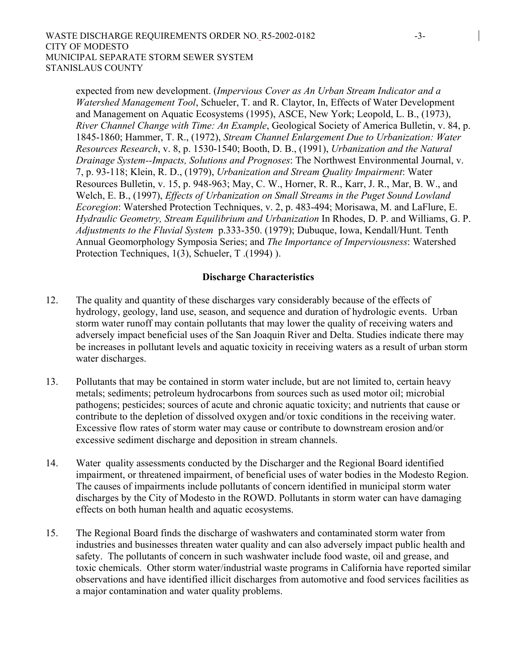expected from new development. (*Impervious Cover as An Urban Stream Indicator and a Watershed Management Tool*, Schueler, T. and R. Claytor, In, Effects of Water Development and Management on Aquatic Ecosystems (1995), ASCE, New York; Leopold, L. B., (1973), *River Channel Change with Time: An Example*, Geological Society of America Bulletin, v. 84, p. 1845-1860; Hammer, T. R., (1972), *Stream Channel Enlargement Due to Urbanization: Water Resources Research*, v. 8, p. 1530-1540; Booth, D. B., (1991), *Urbanization and the Natural Drainage System--Impacts, Solutions and Prognoses*: The Northwest Environmental Journal, v. 7, p. 93-118; Klein, R. D., (1979), *Urbanization and Stream Quality Impairment*: Water Resources Bulletin, v. 15, p. 948-963; May, C. W., Horner, R. R., Karr, J. R., Mar, B. W., and Welch, E. B., (1997), *Effects of Urbanization on Small Streams in the Puget Sound Lowland Ecoregion*: Watershed Protection Techniques, v. 2, p. 483-494; Morisawa, M. and LaFlure, E. *Hydraulic Geometry, Stream Equilibrium and Urbanization* In Rhodes, D. P. and Williams, G. P. *Adjustments to the Fluvial System* p.333-350. (1979); Dubuque, Iowa, Kendall/Hunt. Tenth Annual Geomorphology Symposia Series; and *The Importance of Imperviousness*: Watershed Protection Techniques, 1(3), Schueler, T .(1994) ).

# **Discharge Characteristics**

- 12. The quality and quantity of these discharges vary considerably because of the effects of hydrology, geology, land use, season, and sequence and duration of hydrologic events. Urban storm water runoff may contain pollutants that may lower the quality of receiving waters and adversely impact beneficial uses of the San Joaquin River and Delta. Studies indicate there may be increases in pollutant levels and aquatic toxicity in receiving waters as a result of urban storm water discharges.
- 13. Pollutants that may be contained in storm water include, but are not limited to, certain heavy metals; sediments; petroleum hydrocarbons from sources such as used motor oil; microbial pathogens; pesticides; sources of acute and chronic aquatic toxicity; and nutrients that cause or contribute to the depletion of dissolved oxygen and/or toxic conditions in the receiving water. Excessive flow rates of storm water may cause or contribute to downstream erosion and/or excessive sediment discharge and deposition in stream channels.
- 14. Water quality assessments conducted by the Discharger and the Regional Board identified impairment, or threatened impairment, of beneficial uses of water bodies in the Modesto Region. The causes of impairments include pollutants of concern identified in municipal storm water discharges by the City of Modesto in the ROWD. Pollutants in storm water can have damaging effects on both human health and aquatic ecosystems.
- 15. The Regional Board finds the discharge of washwaters and contaminated storm water from industries and businesses threaten water quality and can also adversely impact public health and safety. The pollutants of concern in such washwater include food waste, oil and grease, and toxic chemicals. Other storm water/industrial waste programs in California have reported similar observations and have identified illicit discharges from automotive and food services facilities as a major contamination and water quality problems.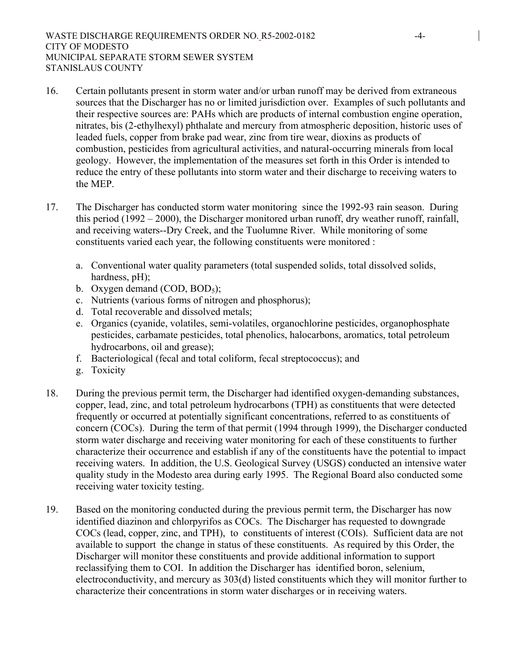- 16. Certain pollutants present in storm water and/or urban runoff may be derived from extraneous sources that the Discharger has no or limited jurisdiction over. Examples of such pollutants and their respective sources are: PAHs which are products of internal combustion engine operation, nitrates, bis (2-ethylhexyl) phthalate and mercury from atmospheric deposition, historic uses of leaded fuels, copper from brake pad wear, zinc from tire wear, dioxins as products of combustion, pesticides from agricultural activities, and natural-occurring minerals from local geology. However, the implementation of the measures set forth in this Order is intended to reduce the entry of these pollutants into storm water and their discharge to receiving waters to the MEP.
- 17. The Discharger has conducted storm water monitoring since the 1992-93 rain season. During this period (1992 – 2000), the Discharger monitored urban runoff, dry weather runoff, rainfall, and receiving waters--Dry Creek, and the Tuolumne River. While monitoring of some constituents varied each year, the following constituents were monitored :
	- a. Conventional water quality parameters (total suspended solids, total dissolved solids, hardness, pH);
	- b. Oxygen demand  $(COD, BOD<sub>5</sub>)$ ;
	- c. Nutrients (various forms of nitrogen and phosphorus);
	- d. Total recoverable and dissolved metals;
	- e. Organics (cyanide, volatiles, semi-volatiles, organochlorine pesticides, organophosphate pesticides, carbamate pesticides, total phenolics, halocarbons, aromatics, total petroleum hydrocarbons, oil and grease);
	- f. Bacteriological (fecal and total coliform, fecal streptococcus); and
	- g. Toxicity
- 18. During the previous permit term, the Discharger had identified oxygen-demanding substances, copper, lead, zinc, and total petroleum hydrocarbons (TPH) as constituents that were detected frequently or occurred at potentially significant concentrations, referred to as constituents of concern (COCs). During the term of that permit (1994 through 1999), the Discharger conducted storm water discharge and receiving water monitoring for each of these constituents to further characterize their occurrence and establish if any of the constituents have the potential to impact receiving waters. In addition, the U.S. Geological Survey (USGS) conducted an intensive water quality study in the Modesto area during early 1995. The Regional Board also conducted some receiving water toxicity testing.
- 19. Based on the monitoring conducted during the previous permit term, the Discharger has now identified diazinon and chlorpyrifos as COCs. The Discharger has requested to downgrade COCs (lead, copper, zinc, and TPH), to constituents of interest (COIs). Sufficient data are not available to support the change in status of these constituents. As required by this Order, the Discharger will monitor these constituents and provide additional information to support reclassifying them to COI. In addition the Discharger has identified boron, selenium, electroconductivity, and mercury as 303(d) listed constituents which they will monitor further to characterize their concentrations in storm water discharges or in receiving waters.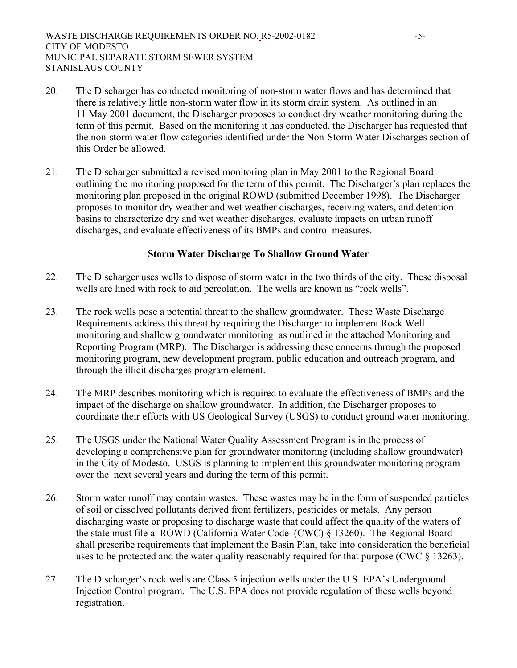- 20. The Discharger has conducted monitoring of non-storm water flows and has determined that there is relatively little non-storm water flow in its storm drain system. As outlined in an 11 May 2001 document, the Discharger proposes to conduct dry weather monitoring during the term of this permit. Based on the monitoring it has conducted, the Discharger has requested that the non-storm water flow categories identified under the Non-Storm Water Discharges section of this Order be allowed.
- 21. The Discharger submitted a revised monitoring plan in May 2001 to the Regional Board outlining the monitoring proposed for the term of this permit. The Discharger's plan replaces the monitoring plan proposed in the original ROWD (submitted December 1998). The Discharger proposes to monitor dry weather and wet weather discharges, receiving waters, and detention basins to characterize dry and wet weather discharges, evaluate impacts on urban runoff discharges, and evaluate effectiveness of its BMPs and control measures.

#### **Storm Water Discharge To Shallow Ground Water**

- 22. The Discharger uses wells to dispose of storm water in the two thirds of the city. These disposal wells are lined with rock to aid percolation. The wells are known as "rock wells".
- 23. The rock wells pose a potential threat to the shallow groundwater. These Waste Discharge Requirements address this threat by requiring the Discharger to implement Rock Well monitoring and shallow groundwater monitoring as outlined in the attached Monitoring and Reporting Program (MRP). The Discharger is addressing these concerns through the proposed monitoring program, new development program, public education and outreach program, and through the illicit discharges program element.
- 24. The MRP describes monitoring which is required to evaluate the effectiveness of BMPs and the impact of the discharge on shallow groundwater. In addition, the Discharger proposes to coordinate their efforts with US Geological Survey (USGS) to conduct ground water monitoring.
- 25. The USGS under the National Water Quality Assessment Program is in the process of developing a comprehensive plan for groundwater monitoring (including shallow groundwater) in the City of Modesto. USGS is planning to implement this groundwater monitoring program over the next several years and during the term of this permit.
- 26. Storm water runoff may contain wastes. These wastes may be in the form of suspended particles of soil or dissolved pollutants derived from fertilizers, pesticides or metals. Any person discharging waste or proposing to discharge waste that could affect the quality of the waters of the state must file a ROWD (California Water Code (CWC) § 13260). The Regional Board shall prescribe requirements that implement the Basin Plan, take into consideration the beneficial uses to be protected and the water quality reasonably required for that purpose (CWC § 13263).
- 27. The Discharger's rock wells are Class 5 injection wells under the U.S. EPA's Underground Injection Control program. The U.S. EPA does not provide regulation of these wells beyond registration.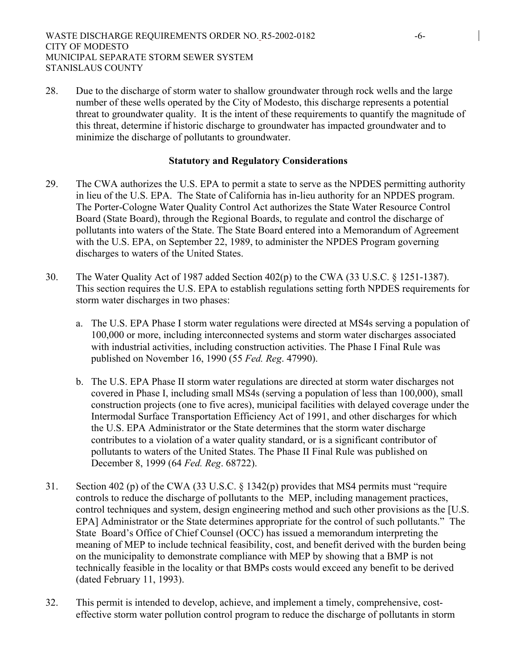28. Due to the discharge of storm water to shallow groundwater through rock wells and the large number of these wells operated by the City of Modesto, this discharge represents a potential threat to groundwater quality. It is the intent of these requirements to quantify the magnitude of this threat, determine if historic discharge to groundwater has impacted groundwater and to minimize the discharge of pollutants to groundwater.

### **Statutory and Regulatory Considerations**

- 29. The CWA authorizes the U.S. EPA to permit a state to serve as the NPDES permitting authority in lieu of the U.S. EPA. The State of California has in-lieu authority for an NPDES program. The Porter-Cologne Water Quality Control Act authorizes the State Water Resource Control Board (State Board), through the Regional Boards, to regulate and control the discharge of pollutants into waters of the State. The State Board entered into a Memorandum of Agreement with the U.S. EPA, on September 22, 1989, to administer the NPDES Program governing discharges to waters of the United States.
- 30. The Water Quality Act of 1987 added Section 402(p) to the CWA (33 U.S.C. § 1251-1387). This section requires the U.S. EPA to establish regulations setting forth NPDES requirements for storm water discharges in two phases:
	- a. The U.S. EPA Phase I storm water regulations were directed at MS4s serving a population of 100,000 or more, including interconnected systems and storm water discharges associated with industrial activities, including construction activities. The Phase I Final Rule was published on November 16, 1990 (55 *Fed. Reg*. 47990).
	- b. The U.S. EPA Phase II storm water regulations are directed at storm water discharges not covered in Phase I, including small MS4s (serving a population of less than 100,000), small construction projects (one to five acres), municipal facilities with delayed coverage under the Intermodal Surface Transportation Efficiency Act of 1991, and other discharges for which the U.S. EPA Administrator or the State determines that the storm water discharge contributes to a violation of a water quality standard, or is a significant contributor of pollutants to waters of the United States. The Phase II Final Rule was published on December 8, 1999 (64 *Fed. Reg*. 68722).
- 31. Section 402 (p) of the CWA (33 U.S.C. § 1342(p) provides that MS4 permits must "require controls to reduce the discharge of pollutants to the MEP, including management practices, control techniques and system, design engineering method and such other provisions as the [U.S. EPA] Administrator or the State determines appropriate for the control of such pollutants." The State Board's Office of Chief Counsel (OCC) has issued a memorandum interpreting the meaning of MEP to include technical feasibility, cost, and benefit derived with the burden being on the municipality to demonstrate compliance with MEP by showing that a BMP is not technically feasible in the locality or that BMPs costs would exceed any benefit to be derived (dated February 11, 1993).
- 32. This permit is intended to develop, achieve, and implement a timely, comprehensive, costeffective storm water pollution control program to reduce the discharge of pollutants in storm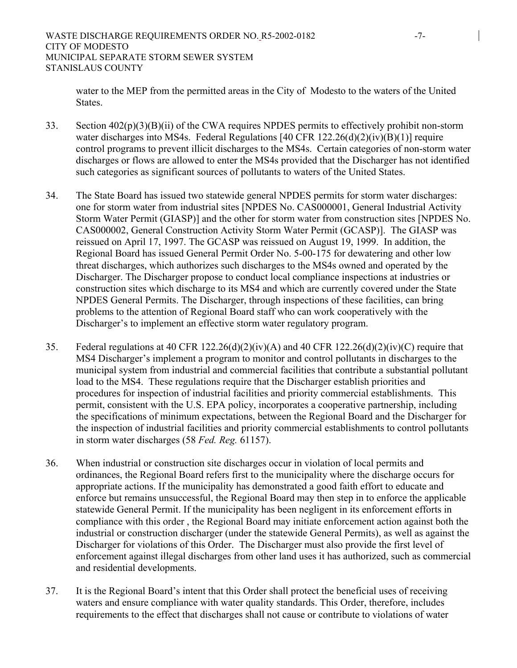water to the MEP from the permitted areas in the City of Modesto to the waters of the United States.

- 33. Section 402(p)(3)(B)(ii) of the CWA requires NPDES permits to effectively prohibit non-storm water discharges into MS4s. Federal Regulations [40 CFR 122.26(d)(2)(iv)(B)(1)] require control programs to prevent illicit discharges to the MS4s. Certain categories of non-storm water discharges or flows are allowed to enter the MS4s provided that the Discharger has not identified such categories as significant sources of pollutants to waters of the United States.
- 34. The State Board has issued two statewide general NPDES permits for storm water discharges: one for storm water from industrial sites [NPDES No. CAS000001, General Industrial Activity Storm Water Permit (GIASP)] and the other for storm water from construction sites [NPDES No. CAS000002, General Construction Activity Storm Water Permit (GCASP)]. The GIASP was reissued on April 17, 1997. The GCASP was reissued on August 19, 1999. In addition, the Regional Board has issued General Permit Order No. 5-00-175 for dewatering and other low threat discharges, which authorizes such discharges to the MS4s owned and operated by the Discharger. The Discharger propose to conduct local compliance inspections at industries or construction sites which discharge to its MS4 and which are currently covered under the State NPDES General Permits. The Discharger, through inspections of these facilities, can bring problems to the attention of Regional Board staff who can work cooperatively with the Discharger's to implement an effective storm water regulatory program.
- 35. Federal regulations at 40 CFR 122.26(d)(2)(iv)(A) and 40 CFR 122.26(d)(2)(iv)(C) require that MS4 Discharger's implement a program to monitor and control pollutants in discharges to the municipal system from industrial and commercial facilities that contribute a substantial pollutant load to the MS4. These regulations require that the Discharger establish priorities and procedures for inspection of industrial facilities and priority commercial establishments. This permit, consistent with the U.S. EPA policy, incorporates a cooperative partnership, including the specifications of minimum expectations, between the Regional Board and the Discharger for the inspection of industrial facilities and priority commercial establishments to control pollutants in storm water discharges (58 *Fed. Reg.* 61157).
- 36. When industrial or construction site discharges occur in violation of local permits and ordinances, the Regional Board refers first to the municipality where the discharge occurs for appropriate actions. If the municipality has demonstrated a good faith effort to educate and enforce but remains unsuccessful, the Regional Board may then step in to enforce the applicable statewide General Permit. If the municipality has been negligent in its enforcement efforts in compliance with this order , the Regional Board may initiate enforcement action against both the industrial or construction discharger (under the statewide General Permits), as well as against the Discharger for violations of this Order. The Discharger must also provide the first level of enforcement against illegal discharges from other land uses it has authorized, such as commercial and residential developments.
- 37. It is the Regional Board's intent that this Order shall protect the beneficial uses of receiving waters and ensure compliance with water quality standards. This Order, therefore, includes requirements to the effect that discharges shall not cause or contribute to violations of water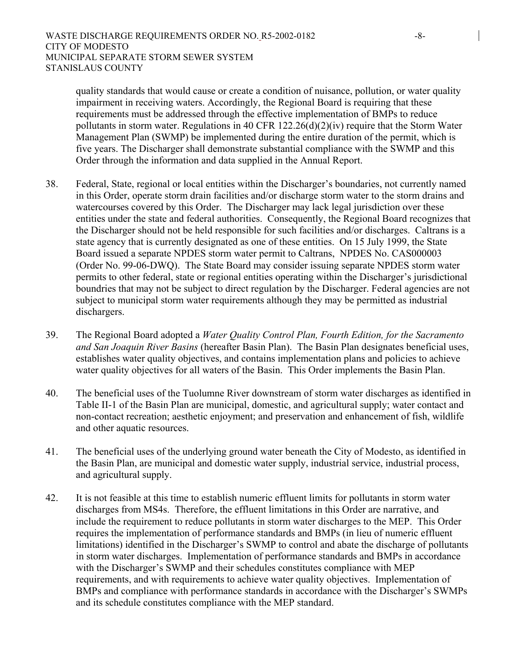quality standards that would cause or create a condition of nuisance, pollution, or water quality impairment in receiving waters. Accordingly, the Regional Board is requiring that these requirements must be addressed through the effective implementation of BMPs to reduce pollutants in storm water. Regulations in 40 CFR 122.26(d)(2)(iv) require that the Storm Water Management Plan (SWMP) be implemented during the entire duration of the permit, which is five years. The Discharger shall demonstrate substantial compliance with the SWMP and this Order through the information and data supplied in the Annual Report.

- 38. Federal, State, regional or local entities within the Discharger's boundaries, not currently named in this Order, operate storm drain facilities and/or discharge storm water to the storm drains and watercourses covered by this Order. The Discharger may lack legal jurisdiction over these entities under the state and federal authorities. Consequently, the Regional Board recognizes that the Discharger should not be held responsible for such facilities and/or discharges. Caltrans is a state agency that is currently designated as one of these entities. On 15 July 1999, the State Board issued a separate NPDES storm water permit to Caltrans, NPDES No. CAS000003 (Order No. 99-06-DWQ). The State Board may consider issuing separate NPDES storm water permits to other federal, state or regional entities operating within the Discharger's jurisdictional boundries that may not be subject to direct regulation by the Discharger. Federal agencies are not subject to municipal storm water requirements although they may be permitted as industrial dischargers.
- 39. The Regional Board adopted a *Water Quality Control Plan, Fourth Edition, for the Sacramento and San Joaquin River Basins* (hereafter Basin Plan). The Basin Plan designates beneficial uses, establishes water quality objectives, and contains implementation plans and policies to achieve water quality objectives for all waters of the Basin. This Order implements the Basin Plan.
- 40. The beneficial uses of the Tuolumne River downstream of storm water discharges as identified in Table II-1 of the Basin Plan are municipal, domestic, and agricultural supply; water contact and non-contact recreation; aesthetic enjoyment; and preservation and enhancement of fish, wildlife and other aquatic resources.
- 41. The beneficial uses of the underlying ground water beneath the City of Modesto, as identified in the Basin Plan, are municipal and domestic water supply, industrial service, industrial process, and agricultural supply.
- 42. It is not feasible at this time to establish numeric effluent limits for pollutants in storm water discharges from MS4s. Therefore, the effluent limitations in this Order are narrative, and include the requirement to reduce pollutants in storm water discharges to the MEP. This Order requires the implementation of performance standards and BMPs (in lieu of numeric effluent limitations) identified in the Discharger's SWMP to control and abate the discharge of pollutants in storm water discharges. Implementation of performance standards and BMPs in accordance with the Discharger's SWMP and their schedules constitutes compliance with MEP requirements, and with requirements to achieve water quality objectives. Implementation of BMPs and compliance with performance standards in accordance with the Discharger's SWMPs and its schedule constitutes compliance with the MEP standard.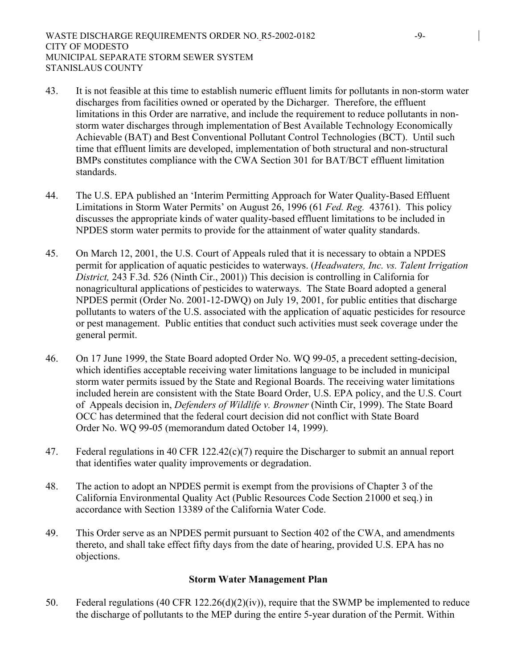- 43. It is not feasible at this time to establish numeric effluent limits for pollutants in non-storm water discharges from facilities owned or operated by the Dicharger. Therefore, the effluent limitations in this Order are narrative, and include the requirement to reduce pollutants in nonstorm water discharges through implementation of Best Available Technology Economically Achievable (BAT) and Best Conventional Pollutant Control Technologies (BCT). Until such time that effluent limits are developed, implementation of both structural and non-structural BMPs constitutes compliance with the CWA Section 301 for BAT/BCT effluent limitation standards.
- 44. The U.S. EPA published an 'Interim Permitting Approach for Water Quality-Based Effluent Limitations in Storm Water Permits' on August 26, 1996 (61 *Fed. Reg.* 43761). This policy discusses the appropriate kinds of water quality-based effluent limitations to be included in NPDES storm water permits to provide for the attainment of water quality standards.
- 45. On March 12, 2001, the U.S. Court of Appeals ruled that it is necessary to obtain a NPDES permit for application of aquatic pesticides to waterways. (*Headwaters, Inc. vs. Talent Irrigation District,* 243 F.3d. 526 (Ninth Cir., 2001)) This decision is controlling in California for nonagricultural applications of pesticides to waterways. The State Board adopted a general NPDES permit (Order No. 2001-12-DWQ) on July 19, 2001, for public entities that discharge pollutants to waters of the U.S. associated with the application of aquatic pesticides for resource or pest management. Public entities that conduct such activities must seek coverage under the general permit.
- 46. On 17 June 1999, the State Board adopted Order No. WQ 99-05, a precedent setting-decision, which identifies acceptable receiving water limitations language to be included in municipal storm water permits issued by the State and Regional Boards. The receiving water limitations included herein are consistent with the State Board Order, U.S. EPA policy, and the U.S. Court of Appeals decision in, *Defenders of Wildlife v. Browner* (Ninth Cir, 1999). The State Board OCC has determined that the federal court decision did not conflict with State Board Order No. WQ 99-05 (memorandum dated October 14, 1999).
- 47. Federal regulations in 40 CFR 122.42(c)(7) require the Discharger to submit an annual report that identifies water quality improvements or degradation.
- 48. The action to adopt an NPDES permit is exempt from the provisions of Chapter 3 of the California Environmental Quality Act (Public Resources Code Section 21000 et seq.) in accordance with Section 13389 of the California Water Code.
- 49. This Order serve as an NPDES permit pursuant to Section 402 of the CWA, and amendments thereto, and shall take effect fifty days from the date of hearing, provided U.S. EPA has no objections.

# **Storm Water Management Plan**

50. Federal regulations (40 CFR 122.26(d)(2)(iv)), require that the SWMP be implemented to reduce the discharge of pollutants to the MEP during the entire 5-year duration of the Permit. Within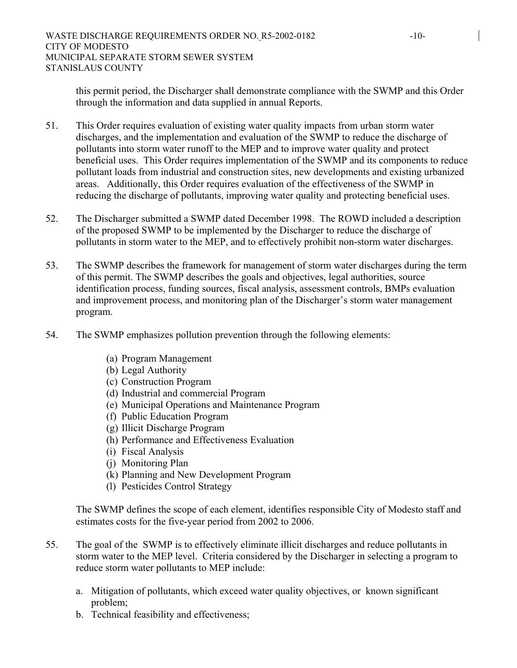this permit period, the Discharger shall demonstrate compliance with the SWMP and this Order through the information and data supplied in annual Reports.

- 51. This Order requires evaluation of existing water quality impacts from urban storm water discharges, and the implementation and evaluation of the SWMP to reduce the discharge of pollutants into storm water runoff to the MEP and to improve water quality and protect beneficial uses. This Order requires implementation of the SWMP and its components to reduce pollutant loads from industrial and construction sites, new developments and existing urbanized areas. Additionally, this Order requires evaluation of the effectiveness of the SWMP in reducing the discharge of pollutants, improving water quality and protecting beneficial uses.
- 52. The Discharger submitted a SWMP dated December 1998. The ROWD included a description of the proposed SWMP to be implemented by the Discharger to reduce the discharge of pollutants in storm water to the MEP, and to effectively prohibit non-storm water discharges.
- 53. The SWMP describes the framework for management of storm water discharges during the term of this permit. The SWMP describes the goals and objectives, legal authorities, source identification process, funding sources, fiscal analysis, assessment controls, BMPs evaluation and improvement process, and monitoring plan of the Discharger's storm water management program.
- 54. The SWMP emphasizes pollution prevention through the following elements:
	- (a) Program Management
	- (b) Legal Authority
	- (c) Construction Program
	- (d) Industrial and commercial Program
	- (e) Municipal Operations and Maintenance Program
	- (f) Public Education Program
	- (g) Illicit Discharge Program
	- (h) Performance and Effectiveness Evaluation
	- (i) Fiscal Analysis
	- (j) Monitoring Plan
	- (k) Planning and New Development Program
	- (l) Pesticides Control Strategy

The SWMP defines the scope of each element, identifies responsible City of Modesto staff and estimates costs for the five-year period from 2002 to 2006.

- 55. The goal of the SWMP is to effectively eliminate illicit discharges and reduce pollutants in storm water to the MEP level. Criteria considered by the Discharger in selecting a program to reduce storm water pollutants to MEP include:
	- a. Mitigation of pollutants, which exceed water quality objectives, or known significant problem;
	- b. Technical feasibility and effectiveness;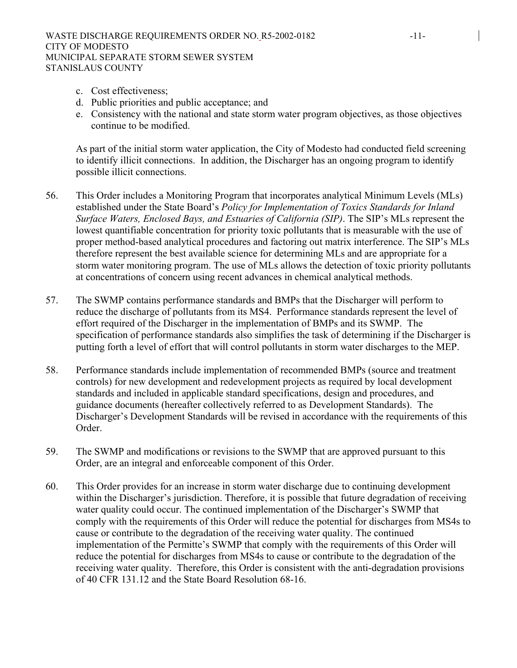- c. Cost effectiveness;
- d. Public priorities and public acceptance; and
- e. Consistency with the national and state storm water program objectives, as those objectives continue to be modified.

As part of the initial storm water application, the City of Modesto had conducted field screening to identify illicit connections. In addition, the Discharger has an ongoing program to identify possible illicit connections.

- 56. This Order includes a Monitoring Program that incorporates analytical Minimum Levels (MLs) established under the State Board's *Policy for Implementation of Toxics Standards for Inland Surface Waters, Enclosed Bays, and Estuaries of California (SIP)*. The SIP's MLs represent the lowest quantifiable concentration for priority toxic pollutants that is measurable with the use of proper method-based analytical procedures and factoring out matrix interference. The SIP's MLs therefore represent the best available science for determining MLs and are appropriate for a storm water monitoring program. The use of MLs allows the detection of toxic priority pollutants at concentrations of concern using recent advances in chemical analytical methods.
- 57. The SWMP contains performance standards and BMPs that the Discharger will perform to reduce the discharge of pollutants from its MS4. Performance standards represent the level of effort required of the Discharger in the implementation of BMPs and its SWMP. The specification of performance standards also simplifies the task of determining if the Discharger is putting forth a level of effort that will control pollutants in storm water discharges to the MEP.
- 58. Performance standards include implementation of recommended BMPs (source and treatment controls) for new development and redevelopment projects as required by local development standards and included in applicable standard specifications, design and procedures, and guidance documents (hereafter collectively referred to as Development Standards). The Discharger's Development Standards will be revised in accordance with the requirements of this Order.
- 59. The SWMP and modifications or revisions to the SWMP that are approved pursuant to this Order, are an integral and enforceable component of this Order.
- 60. This Order provides for an increase in storm water discharge due to continuing development within the Discharger's jurisdiction. Therefore, it is possible that future degradation of receiving water quality could occur. The continued implementation of the Discharger's SWMP that comply with the requirements of this Order will reduce the potential for discharges from MS4s to cause or contribute to the degradation of the receiving water quality. The continued implementation of the Permitte's SWMP that comply with the requirements of this Order will reduce the potential for discharges from MS4s to cause or contribute to the degradation of the receiving water quality. Therefore, this Order is consistent with the anti-degradation provisions of 40 CFR 131.12 and the State Board Resolution 68-16.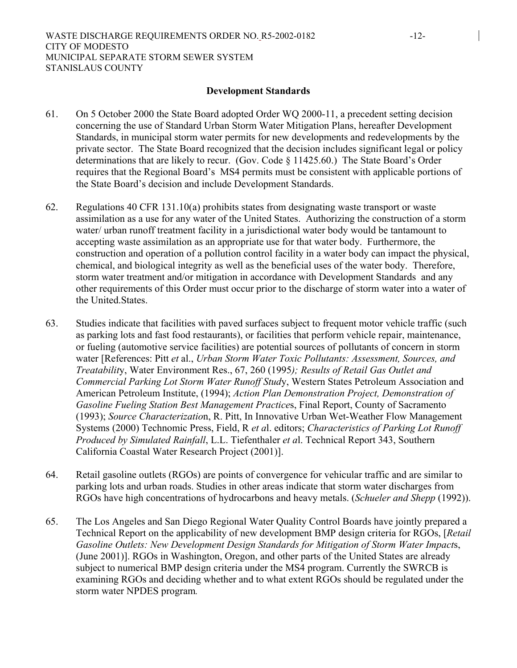#### **Development Standards**

- 61. On 5 October 2000 the State Board adopted Order WQ 2000-11, a precedent setting decision concerning the use of Standard Urban Storm Water Mitigation Plans, hereafter Development Standards, in municipal storm water permits for new developments and redevelopments by the private sector. The State Board recognized that the decision includes significant legal or policy determinations that are likely to recur. (Gov. Code § 11425.60.) The State Board's Order requires that the Regional Board's MS4 permits must be consistent with applicable portions of the State Board's decision and include Development Standards.
- 62. Regulations 40 CFR 131.10(a) prohibits states from designating waste transport or waste assimilation as a use for any water of the United States. Authorizing the construction of a storm water/ urban runoff treatment facility in a jurisdictional water body would be tantamount to accepting waste assimilation as an appropriate use for that water body. Furthermore, the construction and operation of a pollution control facility in a water body can impact the physical, chemical, and biological integrity as well as the beneficial uses of the water body. Therefore, storm water treatment and/or mitigation in accordance with Development Standards and any other requirements of this Order must occur prior to the discharge of storm water into a water of the United.States.
- 63. Studies indicate that facilities with paved surfaces subject to frequent motor vehicle traffic (such as parking lots and fast food restaurants), or facilities that perform vehicle repair, maintenance, or fueling (automotive service facilities) are potential sources of pollutants of concern in storm water [References: Pitt *et* al., *Urban Storm Water Toxic Pollutants: Assessment, Sources, and Treatabilit*y, Water Environment Res., 67, 260 (1995*); Results of Retail Gas Outlet and Commercial Parking Lot Storm Water Runoff Stud*y, Western States Petroleum Association and American Petroleum Institute, (1994); *Action Plan Demonstration Project, Demonstration of Gasoline Fueling Station Best Management Practice*s, Final Report, County of Sacramento (1993); *Source Characterizatio*n, R. Pitt, In Innovative Urban Wet-Weather Flow Management Systems (2000) Technomic Press, Field, R *et a*l. editors; *Characteristics of Parking Lot Runoff Produced by Simulated Rainfall*, L.L. Tiefenthaler *et a*l. Technical Report 343, Southern California Coastal Water Research Project (2001)].
- 64. Retail gasoline outlets (RGOs) are points of convergence for vehicular traffic and are similar to parking lots and urban roads. Studies in other areas indicate that storm water discharges from RGOs have high concentrations of hydrocarbons and heavy metals. (*Schueler and Shepp* (1992)).
- 65. The Los Angeles and San Diego Regional Water Quality Control Boards have jointly prepared a Technical Report on the applicability of new development BMP design criteria for RGOs, [*Retail Gasoline Outlets: New Development Design Standards for Mitigation of Storm Water Impact*s, (June 2001)]. RGOs in Washington, Oregon, and other parts of the United States are already subject to numerical BMP design criteria under the MS4 program. Currently the SWRCB is examining RGOs and deciding whether and to what extent RGOs should be regulated under the storm water NPDES program*.*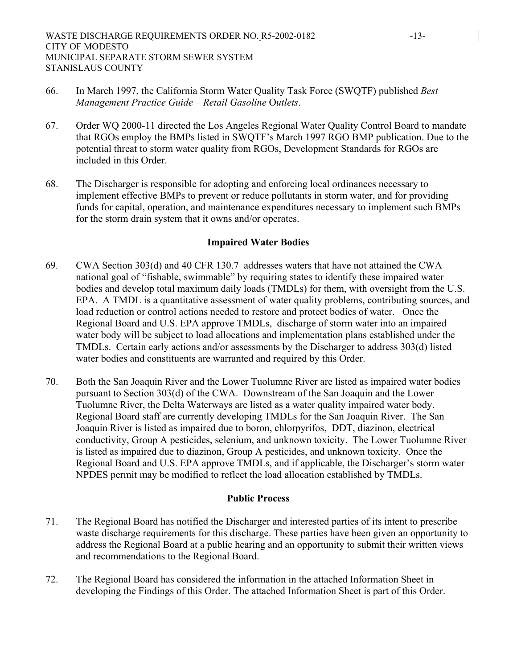- 66. In March 1997, the California Storm Water Quality Task Force (SWQTF) published *Best Management Practice Guide – Retail Gasoline* O*utlets*.
- 67. Order WQ 2000-11 directed the Los Angeles Regional Water Quality Control Board to mandate that RGOs employ the BMPs listed in SWQTF's March 1997 RGO BMP publication. Due to the potential threat to storm water quality from RGOs, Development Standards for RGOs are included in this Order
- 68. The Discharger is responsible for adopting and enforcing local ordinances necessary to implement effective BMPs to prevent or reduce pollutants in storm water, and for providing funds for capital, operation, and maintenance expenditures necessary to implement such BMPs for the storm drain system that it owns and/or operates.

### **Impaired Water Bodies**

- 69. CWA Section 303(d) and 40 CFR 130.7 addresses waters that have not attained the CWA national goal of "fishable, swimmable" by requiring states to identify these impaired water bodies and develop total maximum daily loads (TMDLs) for them, with oversight from the U.S. EPA. A TMDL is a quantitative assessment of water quality problems, contributing sources, and load reduction or control actions needed to restore and protect bodies of water. Once the Regional Board and U.S. EPA approve TMDLs, discharge of storm water into an impaired water body will be subject to load allocations and implementation plans established under the TMDLs. Certain early actions and/or assessments by the Discharger to address 303(d) listed water bodies and constituents are warranted and required by this Order.
- 70. Both the San Joaquin River and the Lower Tuolumne River are listed as impaired water bodies pursuant to Section 303(d) of the CWA. Downstream of the San Joaquin and the Lower Tuolumne River, the Delta Waterways are listed as a water quality impaired water body. Regional Board staff are currently developing TMDLs for the San Joaquin River. The San Joaquin River is listed as impaired due to boron, chlorpyrifos, DDT, diazinon, electrical conductivity, Group A pesticides, selenium, and unknown toxicity. The Lower Tuolumne River is listed as impaired due to diazinon, Group A pesticides, and unknown toxicity. Once the Regional Board and U.S. EPA approve TMDLs, and if applicable, the Discharger's storm water NPDES permit may be modified to reflect the load allocation established by TMDLs.

### **Public Process**

- 71. The Regional Board has notified the Discharger and interested parties of its intent to prescribe waste discharge requirements for this discharge. These parties have been given an opportunity to address the Regional Board at a public hearing and an opportunity to submit their written views and recommendations to the Regional Board.
- 72. The Regional Board has considered the information in the attached Information Sheet in developing the Findings of this Order. The attached Information Sheet is part of this Order.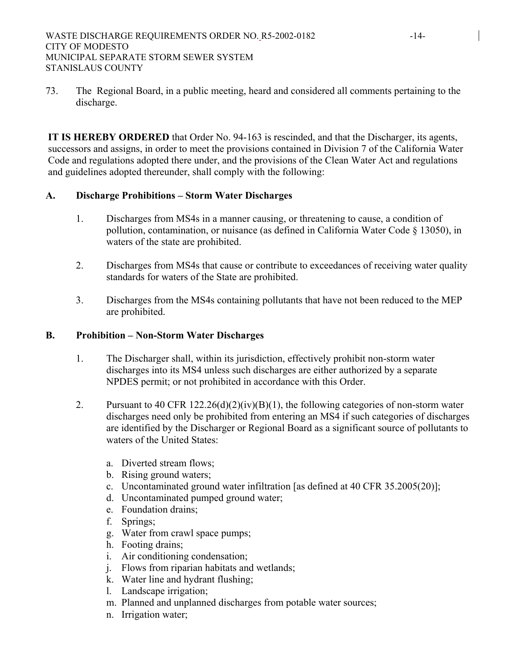73. The Regional Board, in a public meeting, heard and considered all comments pertaining to the discharge.

**IT IS HEREBY ORDERED** that Order No. 94-163 is rescinded, and that the Discharger, its agents, successors and assigns, in order to meet the provisions contained in Division 7 of the California Water Code and regulations adopted there under, and the provisions of the Clean Water Act and regulations and guidelines adopted thereunder, shall comply with the following:

# **A. Discharge Prohibitions – Storm Water Discharges**

- 1. Discharges from MS4s in a manner causing, or threatening to cause, a condition of pollution, contamination, or nuisance (as defined in California Water Code § 13050), in waters of the state are prohibited.
- 2. Discharges from MS4s that cause or contribute to exceedances of receiving water quality standards for waters of the State are prohibited.
- 3. Discharges from the MS4s containing pollutants that have not been reduced to the MEP are prohibited.

## **B. Prohibition – Non-Storm Water Discharges**

- 1. The Discharger shall, within its jurisdiction, effectively prohibit non-storm water discharges into its MS4 unless such discharges are either authorized by a separate NPDES permit; or not prohibited in accordance with this Order.
- 2. Pursuant to 40 CFR 122.26(d)(2)(iv)(B)(1), the following categories of non-storm water discharges need only be prohibited from entering an MS4 if such categories of discharges are identified by the Discharger or Regional Board as a significant source of pollutants to waters of the United States:
	- a. Diverted stream flows;
	- b. Rising ground waters;
	- c. Uncontaminated ground water infiltration [as defined at 40 CFR 35.2005(20)];
	- d. Uncontaminated pumped ground water;
	- e. Foundation drains;
	- f. Springs;
	- g. Water from crawl space pumps;
	- h. Footing drains;
	- i. Air conditioning condensation;
	- j. Flows from riparian habitats and wetlands;
	- k. Water line and hydrant flushing;
	- l. Landscape irrigation;
	- m. Planned and unplanned discharges from potable water sources;
	- n. Irrigation water;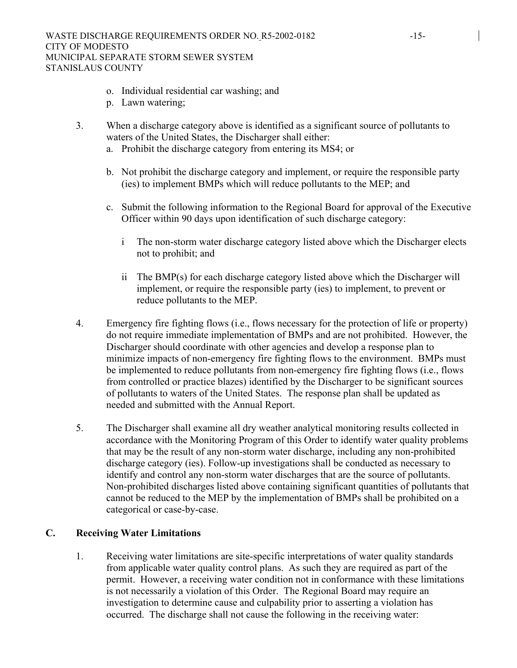- o. Individual residential car washing; and
- p. Lawn watering;
- 3. When a discharge category above is identified as a significant source of pollutants to waters of the United States, the Discharger shall either:
	- a. Prohibit the discharge category from entering its MS4; or
	- b. Not prohibit the discharge category and implement, or require the responsible party (ies) to implement BMPs which will reduce pollutants to the MEP; and
	- c. Submit the following information to the Regional Board for approval of the Executive Officer within 90 days upon identification of such discharge category:
		- i The non-storm water discharge category listed above which the Discharger elects not to prohibit; and
		- ii The BMP(s) for each discharge category listed above which the Discharger will implement, or require the responsible party (ies) to implement, to prevent or reduce pollutants to the MEP.
- 4. Emergency fire fighting flows (i.e., flows necessary for the protection of life or property) do not require immediate implementation of BMPs and are not prohibited. However, the Discharger should coordinate with other agencies and develop a response plan to minimize impacts of non-emergency fire fighting flows to the environment. BMPs must be implemented to reduce pollutants from non-emergency fire fighting flows (i.e., flows from controlled or practice blazes) identified by the Discharger to be significant sources of pollutants to waters of the United States. The response plan shall be updated as needed and submitted with the Annual Report.
- 5. The Discharger shall examine all dry weather analytical monitoring results collected in accordance with the Monitoring Program of this Order to identify water quality problems that may be the result of any non-storm water discharge, including any non-prohibited discharge category (ies). Follow-up investigations shall be conducted as necessary to identify and control any non-storm water discharges that are the source of pollutants. Non-prohibited discharges listed above containing significant quantities of pollutants that cannot be reduced to the MEP by the implementation of BMPs shall be prohibited on a categorical or case-by-case.

### **C. Receiving Water Limitations**

1. Receiving water limitations are site-specific interpretations of water quality standards from applicable water quality control plans. As such they are required as part of the permit. However, a receiving water condition not in conformance with these limitations is not necessarily a violation of this Order. The Regional Board may require an investigation to determine cause and culpability prior to asserting a violation has occurred. The discharge shall not cause the following in the receiving water: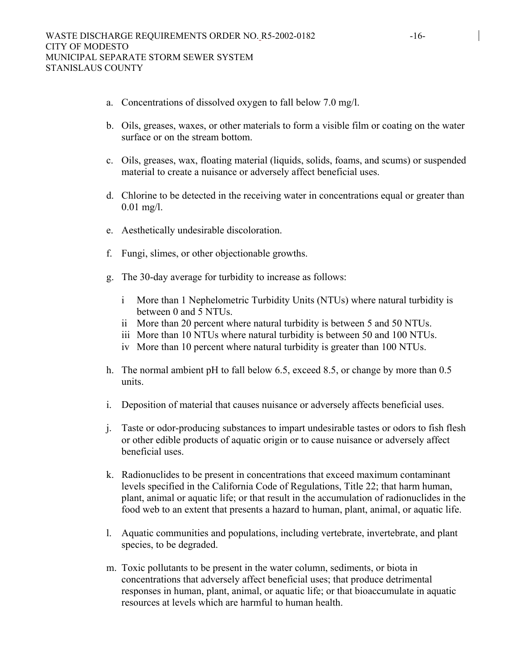- a. Concentrations of dissolved oxygen to fall below 7.0 mg/l.
- b. Oils, greases, waxes, or other materials to form a visible film or coating on the water surface or on the stream bottom.
- c. Oils, greases, wax, floating material (liquids, solids, foams, and scums) or suspended material to create a nuisance or adversely affect beneficial uses.
- d. Chlorine to be detected in the receiving water in concentrations equal or greater than 0.01 mg/l.
- e. Aesthetically undesirable discoloration.
- f. Fungi, slimes, or other objectionable growths.
- g. The 30-day average for turbidity to increase as follows:
	- i More than 1 Nephelometric Turbidity Units (NTUs) where natural turbidity is between 0 and 5 NTUs.
	- ii More than 20 percent where natural turbidity is between 5 and 50 NTUs.
	- iii More than 10 NTUs where natural turbidity is between 50 and 100 NTUs.
	- iv More than 10 percent where natural turbidity is greater than 100 NTUs.
- h. The normal ambient pH to fall below 6.5, exceed 8.5, or change by more than 0.5 units.
- i. Deposition of material that causes nuisance or adversely affects beneficial uses.
- j. Taste or odor-producing substances to impart undesirable tastes or odors to fish flesh or other edible products of aquatic origin or to cause nuisance or adversely affect beneficial uses.
- k. Radionuclides to be present in concentrations that exceed maximum contaminant levels specified in the California Code of Regulations, Title 22; that harm human, plant, animal or aquatic life; or that result in the accumulation of radionuclides in the food web to an extent that presents a hazard to human, plant, animal, or aquatic life.
- l. Aquatic communities and populations, including vertebrate, invertebrate, and plant species, to be degraded.
- m. Toxic pollutants to be present in the water column, sediments, or biota in concentrations that adversely affect beneficial uses; that produce detrimental responses in human, plant, animal, or aquatic life; or that bioaccumulate in aquatic resources at levels which are harmful to human health.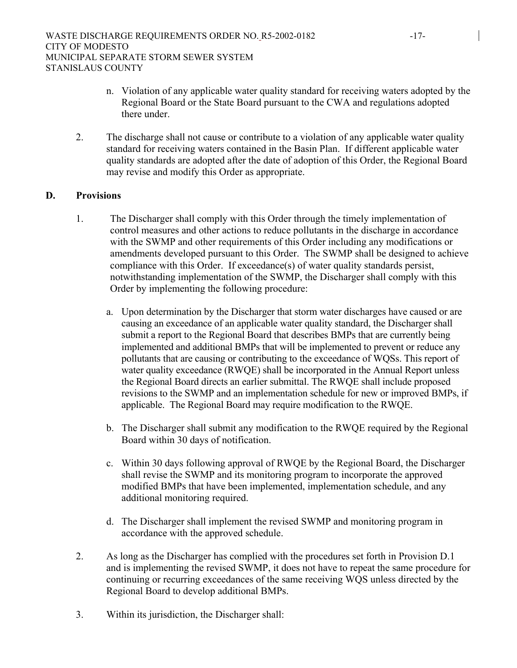- n. Violation of any applicable water quality standard for receiving waters adopted by the Regional Board or the State Board pursuant to the CWA and regulations adopted there under.
- 2. The discharge shall not cause or contribute to a violation of any applicable water quality standard for receiving waters contained in the Basin Plan. If different applicable water quality standards are adopted after the date of adoption of this Order, the Regional Board may revise and modify this Order as appropriate.

# **D. Provisions**

- 1. The Discharger shall comply with this Order through the timely implementation of control measures and other actions to reduce pollutants in the discharge in accordance with the SWMP and other requirements of this Order including any modifications or amendments developed pursuant to this Order. The SWMP shall be designed to achieve compliance with this Order. If exceedance(s) of water quality standards persist, notwithstanding implementation of the SWMP, the Discharger shall comply with this Order by implementing the following procedure:
	- a. Upon determination by the Discharger that storm water discharges have caused or are causing an exceedance of an applicable water quality standard, the Discharger shall submit a report to the Regional Board that describes BMPs that are currently being implemented and additional BMPs that will be implemented to prevent or reduce any pollutants that are causing or contributing to the exceedance of WQSs. This report of water quality exceedance (RWQE) shall be incorporated in the Annual Report unless the Regional Board directs an earlier submittal. The RWQE shall include proposed revisions to the SWMP and an implementation schedule for new or improved BMPs, if applicable. The Regional Board may require modification to the RWQE.
	- b. The Discharger shall submit any modification to the RWQE required by the Regional Board within 30 days of notification.
	- c. Within 30 days following approval of RWQE by the Regional Board, the Discharger shall revise the SWMP and its monitoring program to incorporate the approved modified BMPs that have been implemented, implementation schedule, and any additional monitoring required.
	- d. The Discharger shall implement the revised SWMP and monitoring program in accordance with the approved schedule.
- 2. As long as the Discharger has complied with the procedures set forth in Provision D.1 and is implementing the revised SWMP, it does not have to repeat the same procedure for continuing or recurring exceedances of the same receiving WQS unless directed by the Regional Board to develop additional BMPs.
- 3. Within its jurisdiction, the Discharger shall: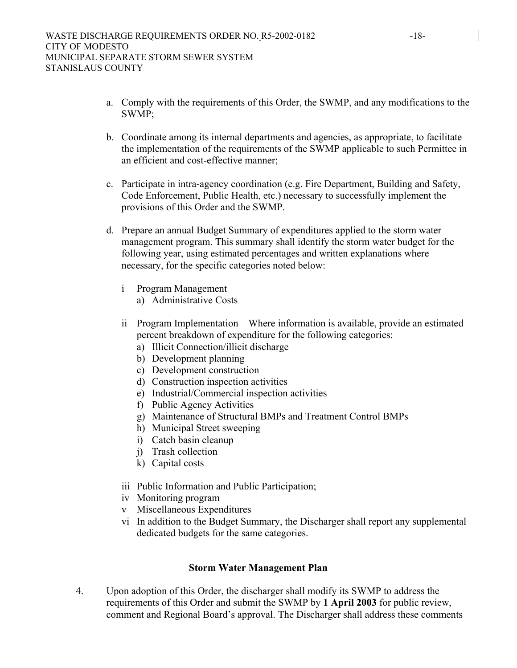- a. Comply with the requirements of this Order, the SWMP, and any modifications to the SWMP;
- b. Coordinate among its internal departments and agencies, as appropriate, to facilitate the implementation of the requirements of the SWMP applicable to such Permittee in an efficient and cost-effective manner;
- c. Participate in intra-agency coordination (e.g. Fire Department, Building and Safety, Code Enforcement, Public Health, etc.) necessary to successfully implement the provisions of this Order and the SWMP.
- d. Prepare an annual Budget Summary of expenditures applied to the storm water management program. This summary shall identify the storm water budget for the following year, using estimated percentages and written explanations where necessary, for the specific categories noted below:
	- i Program Management
		- a) Administrative Costs
	- ii Program Implementation Where information is available, provide an estimated percent breakdown of expenditure for the following categories:
		- a) Illicit Connection/illicit discharge
		- b) Development planning
		- c) Development construction
		- d) Construction inspection activities
		- e) Industrial/Commercial inspection activities
		- f) Public Agency Activities
		- g) Maintenance of Structural BMPs and Treatment Control BMPs
		- h) Municipal Street sweeping
		- i) Catch basin cleanup
		- j) Trash collection
		- k) Capital costs
	- iii Public Information and Public Participation;
	- iv Monitoring program
	- v Miscellaneous Expenditures
	- vi In addition to the Budget Summary, the Discharger shall report any supplemental dedicated budgets for the same categories.

### **Storm Water Management Plan**

4. Upon adoption of this Order, the discharger shall modify its SWMP to address the requirements of this Order and submit the SWMP by **1 April 2003** for public review, comment and Regional Board's approval. The Discharger shall address these comments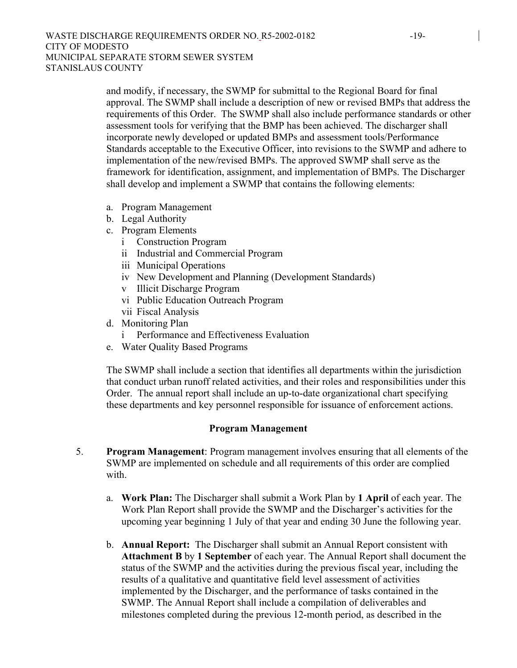and modify, if necessary, the SWMP for submittal to the Regional Board for final approval. The SWMP shall include a description of new or revised BMPs that address the requirements of this Order. The SWMP shall also include performance standards or other assessment tools for verifying that the BMP has been achieved. The discharger shall incorporate newly developed or updated BMPs and assessment tools/Performance Standards acceptable to the Executive Officer, into revisions to the SWMP and adhere to implementation of the new/revised BMPs. The approved SWMP shall serve as the framework for identification, assignment, and implementation of BMPs. The Discharger shall develop and implement a SWMP that contains the following elements:

- a. Program Management
- b. Legal Authority
- c. Program Elements
	- i Construction Program
	- ii Industrial and Commercial Program
	- iii Municipal Operations
	- iv New Development and Planning (Development Standards)
	- v Illicit Discharge Program
	- vi Public Education Outreach Program
	- vii Fiscal Analysis
- d. Monitoring Plan
	- i Performance and Effectiveness Evaluation
- e. Water Quality Based Programs

The SWMP shall include a section that identifies all departments within the jurisdiction that conduct urban runoff related activities, and their roles and responsibilities under this Order. The annual report shall include an up-to-date organizational chart specifying these departments and key personnel responsible for issuance of enforcement actions.

#### **Program Management**

- 5. **Program Management**: Program management involves ensuring that all elements of the SWMP are implemented on schedule and all requirements of this order are complied with
	- a. **Work Plan:** The Discharger shall submit a Work Plan by **1 April** of each year. The Work Plan Report shall provide the SWMP and the Discharger's activities for the upcoming year beginning 1 July of that year and ending 30 June the following year.
	- b. **Annual Report:** The Discharger shall submit an Annual Report consistent with **Attachment B** by **1 September** of each year. The Annual Report shall document the status of the SWMP and the activities during the previous fiscal year, including the results of a qualitative and quantitative field level assessment of activities implemented by the Discharger, and the performance of tasks contained in the SWMP. The Annual Report shall include a compilation of deliverables and milestones completed during the previous 12-month period, as described in the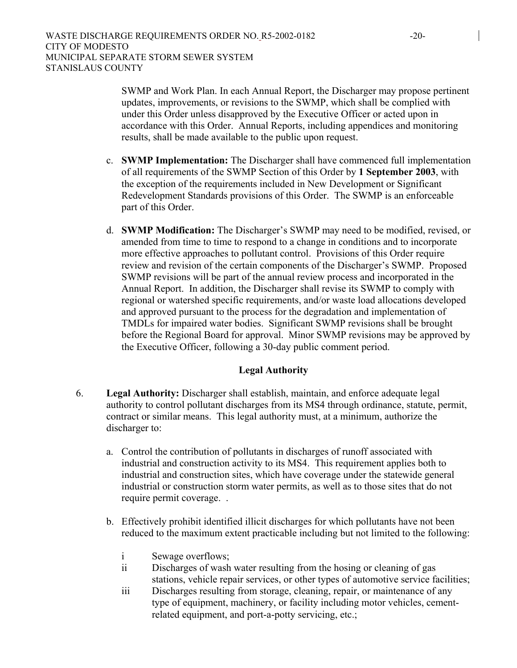SWMP and Work Plan. In each Annual Report, the Discharger may propose pertinent updates, improvements, or revisions to the SWMP, which shall be complied with under this Order unless disapproved by the Executive Officer or acted upon in accordance with this Order. Annual Reports, including appendices and monitoring results, shall be made available to the public upon request.

- c. **SWMP Implementation:** The Discharger shall have commenced full implementation of all requirements of the SWMP Section of this Order by **1 September 2003**, with the exception of the requirements included in New Development or Significant Redevelopment Standards provisions of this Order. The SWMP is an enforceable part of this Order.
- d. **SWMP Modification:** The Discharger's SWMP may need to be modified, revised, or amended from time to time to respond to a change in conditions and to incorporate more effective approaches to pollutant control. Provisions of this Order require review and revision of the certain components of the Discharger's SWMP. Proposed SWMP revisions will be part of the annual review process and incorporated in the Annual Report. In addition, the Discharger shall revise its SWMP to comply with regional or watershed specific requirements, and/or waste load allocations developed and approved pursuant to the process for the degradation and implementation of TMDLs for impaired water bodies. Significant SWMP revisions shall be brought before the Regional Board for approval. Minor SWMP revisions may be approved by the Executive Officer, following a 30-day public comment period.

### **Legal Authority**

- 6. **Legal Authority:** Discharger shall establish, maintain, and enforce adequate legal authority to control pollutant discharges from its MS4 through ordinance, statute, permit, contract or similar means. This legal authority must, at a minimum, authorize the discharger to:
	- a. Control the contribution of pollutants in discharges of runoff associated with industrial and construction activity to its MS4. This requirement applies both to industrial and construction sites, which have coverage under the statewide general industrial or construction storm water permits, as well as to those sites that do not require permit coverage. .
	- b. Effectively prohibit identified illicit discharges for which pollutants have not been reduced to the maximum extent practicable including but not limited to the following:
		- i Sewage overflows;
		- ii Discharges of wash water resulting from the hosing or cleaning of gas stations, vehicle repair services, or other types of automotive service facilities;
		- iii Discharges resulting from storage, cleaning, repair, or maintenance of any type of equipment, machinery, or facility including motor vehicles, cementrelated equipment, and port-a-potty servicing, etc.;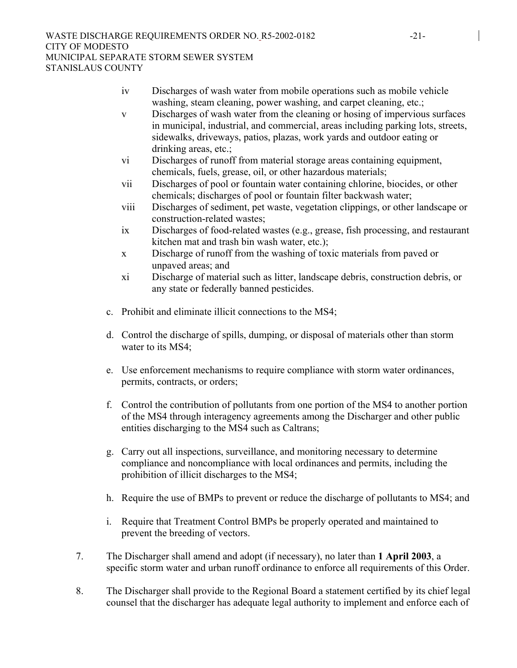- iv Discharges of wash water from mobile operations such as mobile vehicle washing, steam cleaning, power washing, and carpet cleaning, etc.;
- v Discharges of wash water from the cleaning or hosing of impervious surfaces in municipal, industrial, and commercial, areas including parking lots, streets, sidewalks, driveways, patios, plazas, work yards and outdoor eating or drinking areas, etc.;
- vi Discharges of runoff from material storage areas containing equipment, chemicals, fuels, grease, oil, or other hazardous materials;
- vii Discharges of pool or fountain water containing chlorine, biocides, or other chemicals; discharges of pool or fountain filter backwash water;
- viii Discharges of sediment, pet waste, vegetation clippings, or other landscape or construction-related wastes;
- ix Discharges of food-related wastes (e.g., grease, fish processing, and restaurant kitchen mat and trash bin wash water, etc.);
- x Discharge of runoff from the washing of toxic materials from paved or unpaved areas; and
- xi Discharge of material such as litter, landscape debris, construction debris, or any state or federally banned pesticides.
- c. Prohibit and eliminate illicit connections to the MS4;
- d. Control the discharge of spills, dumping, or disposal of materials other than storm water to its MS4;
- e. Use enforcement mechanisms to require compliance with storm water ordinances, permits, contracts, or orders;
- f. Control the contribution of pollutants from one portion of the MS4 to another portion of the MS4 through interagency agreements among the Discharger and other public entities discharging to the MS4 such as Caltrans;
- g. Carry out all inspections, surveillance, and monitoring necessary to determine compliance and noncompliance with local ordinances and permits, including the prohibition of illicit discharges to the MS4;
- h. Require the use of BMPs to prevent or reduce the discharge of pollutants to MS4; and
- i. Require that Treatment Control BMPs be properly operated and maintained to prevent the breeding of vectors.
- 7. The Discharger shall amend and adopt (if necessary), no later than **1 April 2003**, a specific storm water and urban runoff ordinance to enforce all requirements of this Order.
- 8. The Discharger shall provide to the Regional Board a statement certified by its chief legal counsel that the discharger has adequate legal authority to implement and enforce each of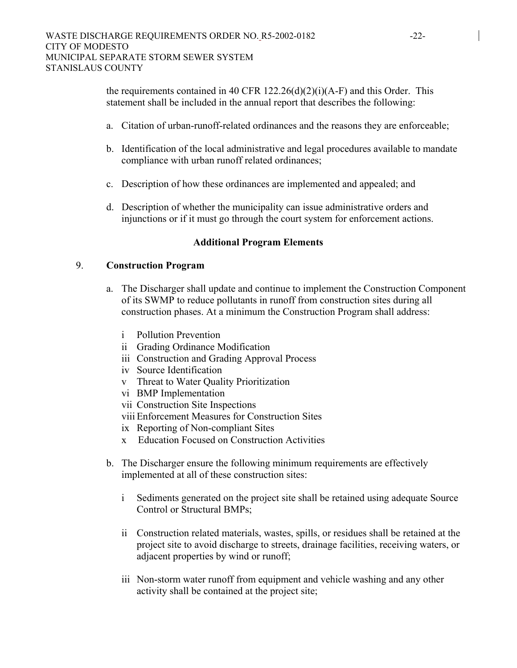the requirements contained in 40 CFR 122.26(d)(2)(i)(A-F) and this Order. This statement shall be included in the annual report that describes the following:

- a. Citation of urban-runoff-related ordinances and the reasons they are enforceable;
- b. Identification of the local administrative and legal procedures available to mandate compliance with urban runoff related ordinances;
- c. Description of how these ordinances are implemented and appealed; and
- d. Description of whether the municipality can issue administrative orders and injunctions or if it must go through the court system for enforcement actions.

### **Additional Program Elements**

### 9. **Construction Program**

- a. The Discharger shall update and continue to implement the Construction Component of its SWMP to reduce pollutants in runoff from construction sites during all construction phases. At a minimum the Construction Program shall address:
	- i Pollution Prevention
	- ii Grading Ordinance Modification
	- iii Construction and Grading Approval Process
	- iv Source Identification
	- v Threat to Water Quality Prioritization
	- vi BMP Implementation
	- vii Construction Site Inspections
	- viii Enforcement Measures for Construction Sites
	- ix Reporting of Non-compliant Sites
	- x Education Focused on Construction Activities
- b. The Discharger ensure the following minimum requirements are effectively implemented at all of these construction sites:
	- i Sediments generated on the project site shall be retained using adequate Source Control or Structural BMPs;
	- ii Construction related materials, wastes, spills, or residues shall be retained at the project site to avoid discharge to streets, drainage facilities, receiving waters, or adjacent properties by wind or runoff;
	- iii Non-storm water runoff from equipment and vehicle washing and any other activity shall be contained at the project site;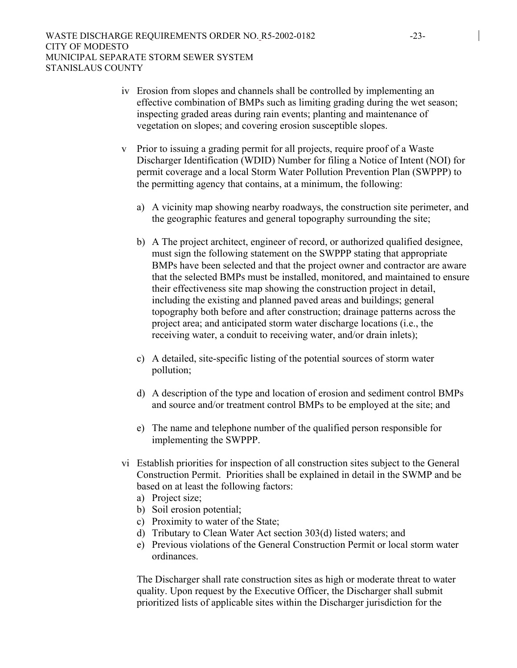- iv Erosion from slopes and channels shall be controlled by implementing an effective combination of BMPs such as limiting grading during the wet season; inspecting graded areas during rain events; planting and maintenance of vegetation on slopes; and covering erosion susceptible slopes.
- v Prior to issuing a grading permit for all projects, require proof of a Waste Discharger Identification (WDID) Number for filing a Notice of Intent (NOI) for permit coverage and a local Storm Water Pollution Prevention Plan (SWPPP) to the permitting agency that contains, at a minimum, the following:
	- a) A vicinity map showing nearby roadways, the construction site perimeter, and the geographic features and general topography surrounding the site;
	- b) A The project architect, engineer of record, or authorized qualified designee, must sign the following statement on the SWPPP stating that appropriate BMPs have been selected and that the project owner and contractor are aware that the selected BMPs must be installed, monitored, and maintained to ensure their effectiveness site map showing the construction project in detail, including the existing and planned paved areas and buildings; general topography both before and after construction; drainage patterns across the project area; and anticipated storm water discharge locations (i.e., the receiving water, a conduit to receiving water, and/or drain inlets);
	- c) A detailed, site-specific listing of the potential sources of storm water pollution;
	- d) A description of the type and location of erosion and sediment control BMPs and source and/or treatment control BMPs to be employed at the site; and
	- e) The name and telephone number of the qualified person responsible for implementing the SWPPP.
- vi Establish priorities for inspection of all construction sites subject to the General Construction Permit. Priorities shall be explained in detail in the SWMP and be based on at least the following factors:
	- a) Project size;
	- b) Soil erosion potential;
	- c) Proximity to water of the State;
	- d) Tributary to Clean Water Act section 303(d) listed waters; and
	- e) Previous violations of the General Construction Permit or local storm water ordinances.

The Discharger shall rate construction sites as high or moderate threat to water quality. Upon request by the Executive Officer, the Discharger shall submit prioritized lists of applicable sites within the Discharger jurisdiction for the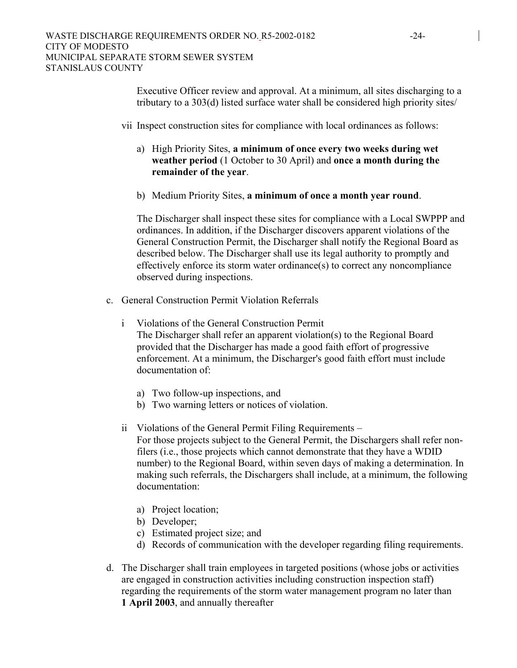Executive Officer review and approval. At a minimum, all sites discharging to a tributary to a 303(d) listed surface water shall be considered high priority sites/

- vii Inspect construction sites for compliance with local ordinances as follows:
	- a) High Priority Sites, **a minimum of once every two weeks during wet weather period** (1 October to 30 April) and **once a month during the remainder of the year**.
	- b) Medium Priority Sites, **a minimum of once a month year round**.

The Discharger shall inspect these sites for compliance with a Local SWPPP and ordinances. In addition, if the Discharger discovers apparent violations of the General Construction Permit, the Discharger shall notify the Regional Board as described below. The Discharger shall use its legal authority to promptly and effectively enforce its storm water ordinance(s) to correct any noncompliance observed during inspections.

- c. General Construction Permit Violation Referrals
	- i Violations of the General Construction Permit The Discharger shall refer an apparent violation(s) to the Regional Board provided that the Discharger has made a good faith effort of progressive enforcement. At a minimum, the Discharger's good faith effort must include documentation of:
		- a) Two follow-up inspections, and
		- b) Two warning letters or notices of violation.
	- ii Violations of the General Permit Filing Requirements For those projects subject to the General Permit, the Dischargers shall refer nonfilers (i.e., those projects which cannot demonstrate that they have a WDID number) to the Regional Board, within seven days of making a determination. In making such referrals, the Dischargers shall include, at a minimum, the following documentation:
		- a) Project location;
		- b) Developer;
		- c) Estimated project size; and
		- d) Records of communication with the developer regarding filing requirements.
- d. The Discharger shall train employees in targeted positions (whose jobs or activities are engaged in construction activities including construction inspection staff) regarding the requirements of the storm water management program no later than **1 April 2003**, and annually thereafter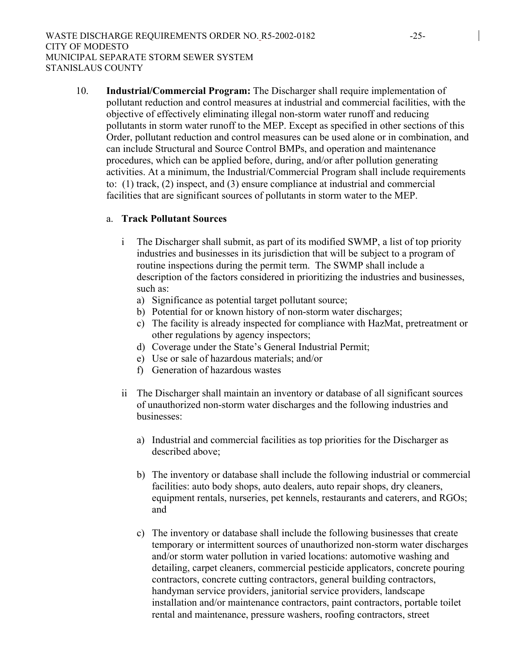10. **Industrial/Commercial Program:** The Discharger shall require implementation of pollutant reduction and control measures at industrial and commercial facilities, with the objective of effectively eliminating illegal non-storm water runoff and reducing pollutants in storm water runoff to the MEP. Except as specified in other sections of this Order, pollutant reduction and control measures can be used alone or in combination, and can include Structural and Source Control BMPs, and operation and maintenance procedures, which can be applied before, during, and/or after pollution generating activities. At a minimum, the Industrial/Commercial Program shall include requirements to: (1) track, (2) inspect, and (3) ensure compliance at industrial and commercial facilities that are significant sources of pollutants in storm water to the MEP.

# a. **Track Pollutant Sources**

- i The Discharger shall submit, as part of its modified SWMP, a list of top priority industries and businesses in its jurisdiction that will be subject to a program of routine inspections during the permit term. The SWMP shall include a description of the factors considered in prioritizing the industries and businesses, such as:
	- a) Significance as potential target pollutant source;
	- b) Potential for or known history of non-storm water discharges;
	- c) The facility is already inspected for compliance with HazMat, pretreatment or other regulations by agency inspectors;
	- d) Coverage under the State's General Industrial Permit;
	- e) Use or sale of hazardous materials; and/or
	- f) Generation of hazardous wastes
- ii The Discharger shall maintain an inventory or database of all significant sources of unauthorized non-storm water discharges and the following industries and businesses:
	- a) Industrial and commercial facilities as top priorities for the Discharger as described above;
	- b) The inventory or database shall include the following industrial or commercial facilities: auto body shops, auto dealers, auto repair shops, dry cleaners, equipment rentals, nurseries, pet kennels, restaurants and caterers, and RGOs; and
	- c) The inventory or database shall include the following businesses that create temporary or intermittent sources of unauthorized non-storm water discharges and/or storm water pollution in varied locations: automotive washing and detailing, carpet cleaners, commercial pesticide applicators, concrete pouring contractors, concrete cutting contractors, general building contractors, handyman service providers, janitorial service providers, landscape installation and/or maintenance contractors, paint contractors, portable toilet rental and maintenance, pressure washers, roofing contractors, street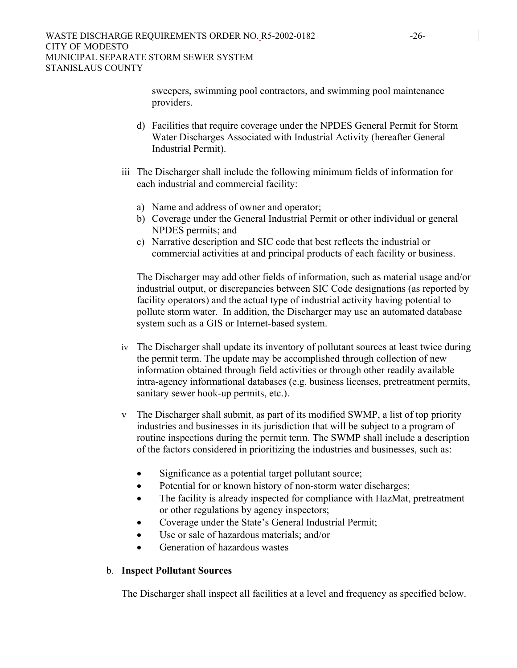sweepers, swimming pool contractors, and swimming pool maintenance providers.

- d) Facilities that require coverage under the NPDES General Permit for Storm Water Discharges Associated with Industrial Activity (hereafter General Industrial Permit).
- iii The Discharger shall include the following minimum fields of information for each industrial and commercial facility:
	- a) Name and address of owner and operator;
	- b) Coverage under the General Industrial Permit or other individual or general NPDES permits; and
	- c) Narrative description and SIC code that best reflects the industrial or commercial activities at and principal products of each facility or business.

The Discharger may add other fields of information, such as material usage and/or industrial output, or discrepancies between SIC Code designations (as reported by facility operators) and the actual type of industrial activity having potential to pollute storm water. In addition, the Discharger may use an automated database system such as a GIS or Internet-based system.

- iv The Discharger shall update its inventory of pollutant sources at least twice during the permit term. The update may be accomplished through collection of new information obtained through field activities or through other readily available intra-agency informational databases (e.g. business licenses, pretreatment permits, sanitary sewer hook-up permits, etc.).
- v The Discharger shall submit, as part of its modified SWMP, a list of top priority industries and businesses in its jurisdiction that will be subject to a program of routine inspections during the permit term. The SWMP shall include a description of the factors considered in prioritizing the industries and businesses, such as:
	- Significance as a potential target pollutant source;
	- Potential for or known history of non-storm water discharges;
	- The facility is already inspected for compliance with HazMat, pretreatment or other regulations by agency inspectors;
	- Coverage under the State's General Industrial Permit;
	- Use or sale of hazardous materials; and/or
	- Generation of hazardous wastes

### b. **Inspect Pollutant Sources**

The Discharger shall inspect all facilities at a level and frequency as specified below.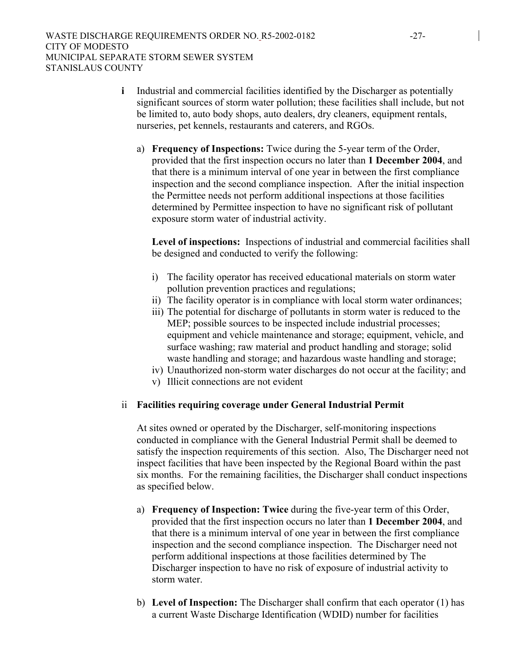- **i** Industrial and commercial facilities identified by the Discharger as potentially significant sources of storm water pollution; these facilities shall include, but not be limited to, auto body shops, auto dealers, dry cleaners, equipment rentals, nurseries, pet kennels, restaurants and caterers, and RGOs.
	- a) **Frequency of Inspections:** Twice during the 5-year term of the Order, provided that the first inspection occurs no later than **1 December 2004**, and that there is a minimum interval of one year in between the first compliance inspection and the second compliance inspection. After the initial inspection the Permittee needs not perform additional inspections at those facilities determined by Permittee inspection to have no significant risk of pollutant exposure storm water of industrial activity.

**Level of inspections:** Inspections of industrial and commercial facilities shall be designed and conducted to verify the following:

- i) The facility operator has received educational materials on storm water pollution prevention practices and regulations;
- ii) The facility operator is in compliance with local storm water ordinances;
- iii) The potential for discharge of pollutants in storm water is reduced to the MEP; possible sources to be inspected include industrial processes; equipment and vehicle maintenance and storage; equipment, vehicle, and surface washing; raw material and product handling and storage; solid waste handling and storage; and hazardous waste handling and storage;
- iv) Unauthorized non-storm water discharges do not occur at the facility; and
- v) Illicit connections are not evident

#### ii **Facilities requiring coverage under General Industrial Permit**

At sites owned or operated by the Discharger, self-monitoring inspections conducted in compliance with the General Industrial Permit shall be deemed to satisfy the inspection requirements of this section. Also, The Discharger need not inspect facilities that have been inspected by the Regional Board within the past six months. For the remaining facilities, the Discharger shall conduct inspections as specified below.

- a) **Frequency of Inspection: Twice** during the five-year term of this Order, provided that the first inspection occurs no later than **1 December 2004**, and that there is a minimum interval of one year in between the first compliance inspection and the second compliance inspection. The Discharger need not perform additional inspections at those facilities determined by The Discharger inspection to have no risk of exposure of industrial activity to storm water.
- b) **Level of Inspection:** The Discharger shall confirm that each operator (1) has a current Waste Discharge Identification (WDID) number for facilities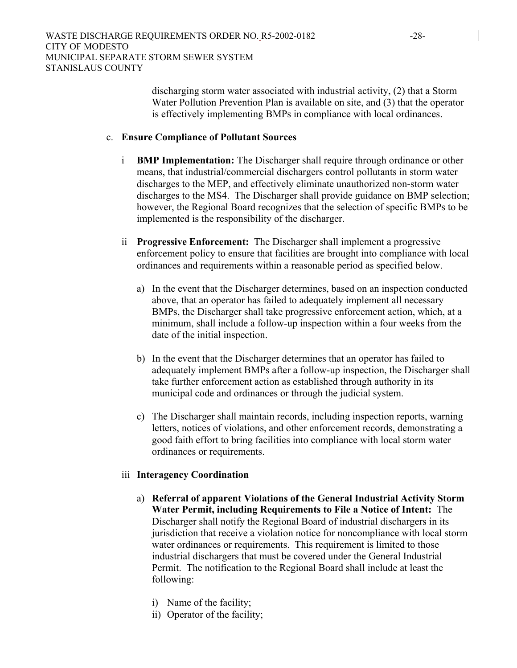discharging storm water associated with industrial activity, (2) that a Storm Water Pollution Prevention Plan is available on site, and (3) that the operator is effectively implementing BMPs in compliance with local ordinances.

#### c. **Ensure Compliance of Pollutant Sources**

- i **BMP Implementation:** The Discharger shall require through ordinance or other means, that industrial/commercial dischargers control pollutants in storm water discharges to the MEP, and effectively eliminate unauthorized non-storm water discharges to the MS4. The Discharger shall provide guidance on BMP selection; however, the Regional Board recognizes that the selection of specific BMPs to be implemented is the responsibility of the discharger.
- ii **Progressive Enforcement:** The Discharger shall implement a progressive enforcement policy to ensure that facilities are brought into compliance with local ordinances and requirements within a reasonable period as specified below.
	- a) In the event that the Discharger determines, based on an inspection conducted above, that an operator has failed to adequately implement all necessary BMPs, the Discharger shall take progressive enforcement action, which, at a minimum, shall include a follow-up inspection within a four weeks from the date of the initial inspection.
	- b) In the event that the Discharger determines that an operator has failed to adequately implement BMPs after a follow-up inspection, the Discharger shall take further enforcement action as established through authority in its municipal code and ordinances or through the judicial system.
	- c) The Discharger shall maintain records, including inspection reports, warning letters, notices of violations, and other enforcement records, demonstrating a good faith effort to bring facilities into compliance with local storm water ordinances or requirements.

#### iii **Interagency Coordination**

- a) **Referral of apparent Violations of the General Industrial Activity Storm Water Permit, including Requirements to File a Notice of Intent:** The Discharger shall notify the Regional Board of industrial dischargers in its jurisdiction that receive a violation notice for noncompliance with local storm water ordinances or requirements. This requirement is limited to those industrial dischargers that must be covered under the General Industrial Permit. The notification to the Regional Board shall include at least the following:
	- i) Name of the facility;
	- ii) Operator of the facility;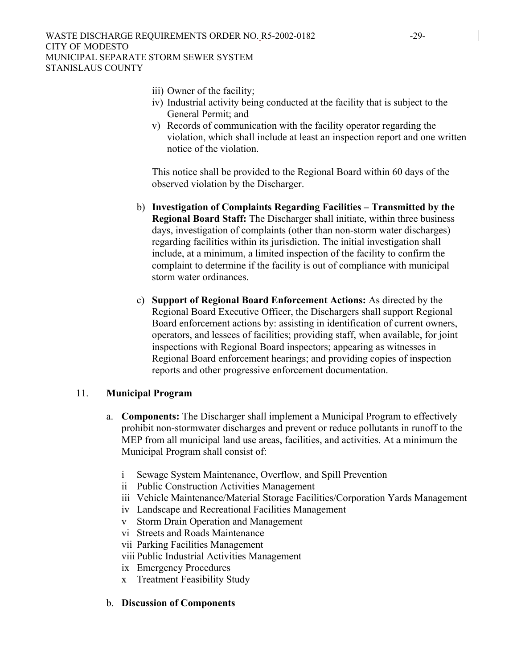- iii) Owner of the facility;
- iv) Industrial activity being conducted at the facility that is subject to the General Permit; and
- v) Records of communication with the facility operator regarding the violation, which shall include at least an inspection report and one written notice of the violation.

This notice shall be provided to the Regional Board within 60 days of the observed violation by the Discharger.

- b) **Investigation of Complaints Regarding Facilities Transmitted by the Regional Board Staff:** The Discharger shall initiate, within three business days, investigation of complaints (other than non-storm water discharges) regarding facilities within its jurisdiction. The initial investigation shall include, at a minimum, a limited inspection of the facility to confirm the complaint to determine if the facility is out of compliance with municipal storm water ordinances.
- c) **Support of Regional Board Enforcement Actions:** As directed by the Regional Board Executive Officer, the Dischargers shall support Regional Board enforcement actions by: assisting in identification of current owners, operators, and lessees of facilities; providing staff, when available, for joint inspections with Regional Board inspectors; appearing as witnesses in Regional Board enforcement hearings; and providing copies of inspection reports and other progressive enforcement documentation.

### 11. **Municipal Program**

- a. **Components:** The Discharger shall implement a Municipal Program to effectively prohibit non-stormwater discharges and prevent or reduce pollutants in runoff to the MEP from all municipal land use areas, facilities, and activities. At a minimum the Municipal Program shall consist of:
	- i Sewage System Maintenance, Overflow, and Spill Prevention
	- ii Public Construction Activities Management
	- iii Vehicle Maintenance/Material Storage Facilities/Corporation Yards Management
	- iv Landscape and Recreational Facilities Management
	- v Storm Drain Operation and Management
	- vi Streets and Roads Maintenance
	- vii Parking Facilities Management
	- viii Public Industrial Activities Management
	- ix Emergency Procedures
	- x Treatment Feasibility Study

### b. **Discussion of Components**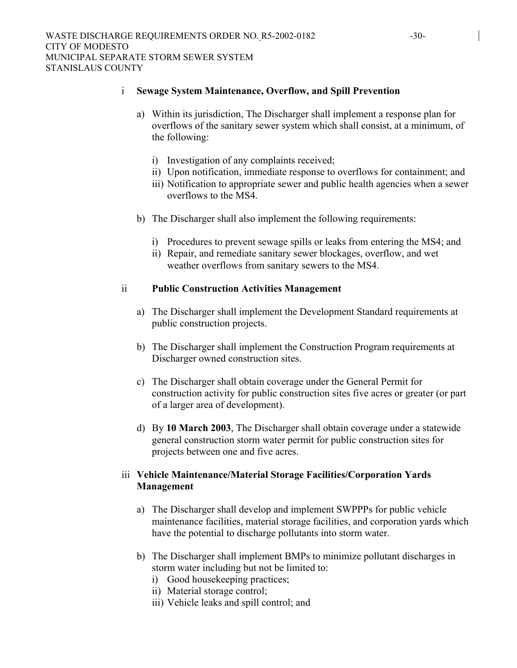#### i **Sewage System Maintenance, Overflow, and Spill Prevention**

- a) Within its jurisdiction, The Discharger shall implement a response plan for overflows of the sanitary sewer system which shall consist, at a minimum, of the following:
	- i) Investigation of any complaints received;
	- ii) Upon notification, immediate response to overflows for containment; and
	- iii) Notification to appropriate sewer and public health agencies when a sewer overflows to the MS4.
- b) The Discharger shall also implement the following requirements:
	- i) Procedures to prevent sewage spills or leaks from entering the MS4; and
	- ii) Repair, and remediate sanitary sewer blockages, overflow, and wet weather overflows from sanitary sewers to the MS4.

#### ii **Public Construction Activities Management**

- a) The Discharger shall implement the Development Standard requirements at public construction projects.
- b) The Discharger shall implement the Construction Program requirements at Discharger owned construction sites.
- c) The Discharger shall obtain coverage under the General Permit for construction activity for public construction sites five acres or greater (or part of a larger area of development).
- d) By **10 March 2003**, The Discharger shall obtain coverage under a statewide general construction storm water permit for public construction sites for projects between one and five acres.

### iii **Vehicle Maintenance/Material Storage Facilities/Corporation Yards Management**

- a) The Discharger shall develop and implement SWPPPs for public vehicle maintenance facilities, material storage facilities, and corporation yards which have the potential to discharge pollutants into storm water.
- b) The Discharger shall implement BMPs to minimize pollutant discharges in storm water including but not be limited to:
	- i) Good housekeeping practices;
	- ii) Material storage control;
	- iii) Vehicle leaks and spill control; and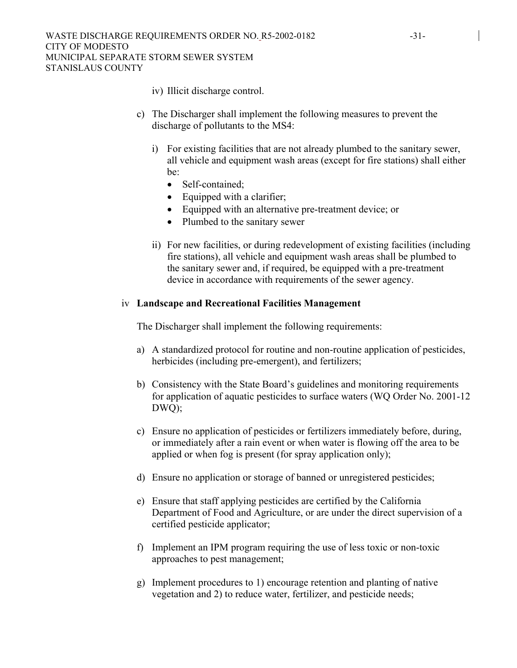- iv) Illicit discharge control.
- c) The Discharger shall implement the following measures to prevent the discharge of pollutants to the MS4:
	- i) For existing facilities that are not already plumbed to the sanitary sewer, all vehicle and equipment wash areas (except for fire stations) shall either be:
		- Self-contained;
		- Equipped with a clarifier;
		- Equipped with an alternative pre-treatment device; or
		- Plumbed to the sanitary sewer
	- ii) For new facilities, or during redevelopment of existing facilities (including fire stations), all vehicle and equipment wash areas shall be plumbed to the sanitary sewer and, if required, be equipped with a pre-treatment device in accordance with requirements of the sewer agency.

#### iv **Landscape and Recreational Facilities Management**

The Discharger shall implement the following requirements:

- a) A standardized protocol for routine and non-routine application of pesticides, herbicides (including pre-emergent), and fertilizers;
- b) Consistency with the State Board's guidelines and monitoring requirements for application of aquatic pesticides to surface waters (WQ Order No. 2001-12 DWQ);
- c) Ensure no application of pesticides or fertilizers immediately before, during, or immediately after a rain event or when water is flowing off the area to be applied or when fog is present (for spray application only);
- d) Ensure no application or storage of banned or unregistered pesticides;
- e) Ensure that staff applying pesticides are certified by the California Department of Food and Agriculture, or are under the direct supervision of a certified pesticide applicator;
- f) Implement an IPM program requiring the use of less toxic or non-toxic approaches to pest management;
- g) Implement procedures to 1) encourage retention and planting of native vegetation and 2) to reduce water, fertilizer, and pesticide needs;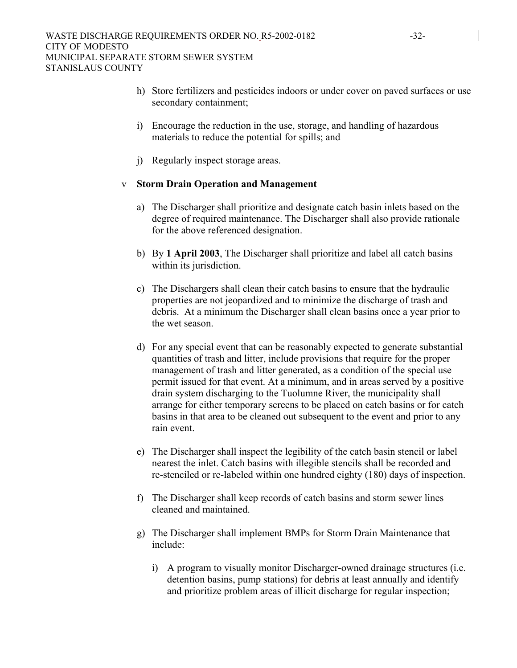- h) Store fertilizers and pesticides indoors or under cover on paved surfaces or use secondary containment;
- i) Encourage the reduction in the use, storage, and handling of hazardous materials to reduce the potential for spills; and
- j) Regularly inspect storage areas.

#### v **Storm Drain Operation and Management**

- a) The Discharger shall prioritize and designate catch basin inlets based on the degree of required maintenance. The Discharger shall also provide rationale for the above referenced designation.
- b) By **1 April 2003**, The Discharger shall prioritize and label all catch basins within its jurisdiction.
- c) The Dischargers shall clean their catch basins to ensure that the hydraulic properties are not jeopardized and to minimize the discharge of trash and debris. At a minimum the Discharger shall clean basins once a year prior to the wet season.
- d) For any special event that can be reasonably expected to generate substantial quantities of trash and litter, include provisions that require for the proper management of trash and litter generated, as a condition of the special use permit issued for that event. At a minimum, and in areas served by a positive drain system discharging to the Tuolumne River, the municipality shall arrange for either temporary screens to be placed on catch basins or for catch basins in that area to be cleaned out subsequent to the event and prior to any rain event.
- e) The Discharger shall inspect the legibility of the catch basin stencil or label nearest the inlet. Catch basins with illegible stencils shall be recorded and re-stenciled or re-labeled within one hundred eighty (180) days of inspection.
- f) The Discharger shall keep records of catch basins and storm sewer lines cleaned and maintained.
- g) The Discharger shall implement BMPs for Storm Drain Maintenance that include:
	- i) A program to visually monitor Discharger-owned drainage structures (i.e. detention basins, pump stations) for debris at least annually and identify and prioritize problem areas of illicit discharge for regular inspection;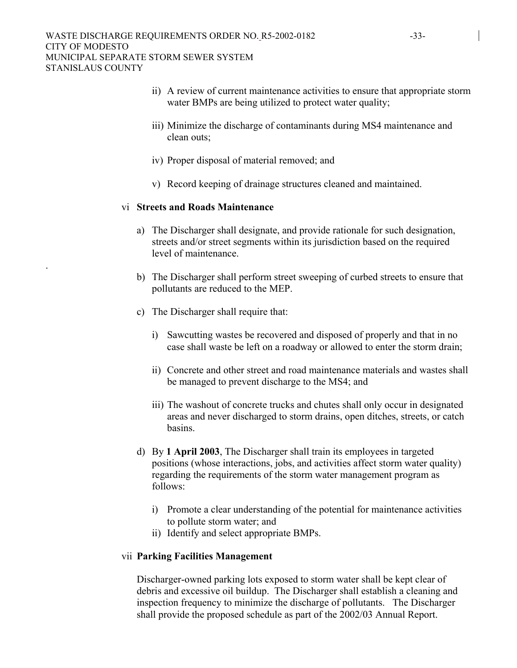- ii) A review of current maintenance activities to ensure that appropriate storm water BMPs are being utilized to protect water quality;
- iii) Minimize the discharge of contaminants during MS4 maintenance and clean outs;
- iv) Proper disposal of material removed; and
- v) Record keeping of drainage structures cleaned and maintained.

#### vi **Streets and Roads Maintenance**

.

- a) The Discharger shall designate, and provide rationale for such designation, streets and/or street segments within its jurisdiction based on the required level of maintenance.
- b) The Discharger shall perform street sweeping of curbed streets to ensure that pollutants are reduced to the MEP.
- c) The Discharger shall require that:
	- i) Sawcutting wastes be recovered and disposed of properly and that in no case shall waste be left on a roadway or allowed to enter the storm drain;
	- ii) Concrete and other street and road maintenance materials and wastes shall be managed to prevent discharge to the MS4; and
	- iii) The washout of concrete trucks and chutes shall only occur in designated areas and never discharged to storm drains, open ditches, streets, or catch basins.
- d) By **1 April 2003**, The Discharger shall train its employees in targeted positions (whose interactions, jobs, and activities affect storm water quality) regarding the requirements of the storm water management program as follows:
	- i) Promote a clear understanding of the potential for maintenance activities to pollute storm water; and
	- ii) Identify and select appropriate BMPs.

#### vii **Parking Facilities Management**

Discharger-owned parking lots exposed to storm water shall be kept clear of debris and excessive oil buildup. The Discharger shall establish a cleaning and inspection frequency to minimize the discharge of pollutants. The Discharger shall provide the proposed schedule as part of the 2002/03 Annual Report.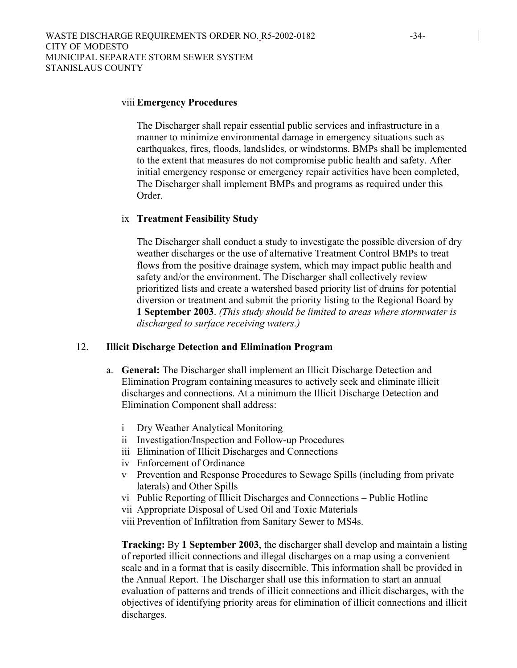#### viii **Emergency Procedures**

The Discharger shall repair essential public services and infrastructure in a manner to minimize environmental damage in emergency situations such as earthquakes, fires, floods, landslides, or windstorms. BMPs shall be implemented to the extent that measures do not compromise public health and safety. After initial emergency response or emergency repair activities have been completed, The Discharger shall implement BMPs and programs as required under this Order.

#### ix **Treatment Feasibility Study**

The Discharger shall conduct a study to investigate the possible diversion of dry weather discharges or the use of alternative Treatment Control BMPs to treat flows from the positive drainage system, which may impact public health and safety and/or the environment. The Discharger shall collectively review prioritized lists and create a watershed based priority list of drains for potential diversion or treatment and submit the priority listing to the Regional Board by **1 September 2003**. *(This study should be limited to areas where stormwater is discharged to surface receiving waters.)*

#### 12. **Illicit Discharge Detection and Elimination Program**

- a. **General:** The Discharger shall implement an Illicit Discharge Detection and Elimination Program containing measures to actively seek and eliminate illicit discharges and connections. At a minimum the Illicit Discharge Detection and Elimination Component shall address:
	- i Dry Weather Analytical Monitoring
	- ii Investigation/Inspection and Follow-up Procedures
	- iii Elimination of Illicit Discharges and Connections
	- iv Enforcement of Ordinance
	- v Prevention and Response Procedures to Sewage Spills (including from private laterals) and Other Spills
	- vi Public Reporting of Illicit Discharges and Connections Public Hotline
	- vii Appropriate Disposal of Used Oil and Toxic Materials

viii Prevention of Infiltration from Sanitary Sewer to MS4s.

**Tracking:** By **1 September 2003**, the discharger shall develop and maintain a listing of reported illicit connections and illegal discharges on a map using a convenient scale and in a format that is easily discernible. This information shall be provided in the Annual Report. The Discharger shall use this information to start an annual evaluation of patterns and trends of illicit connections and illicit discharges, with the objectives of identifying priority areas for elimination of illicit connections and illicit discharges.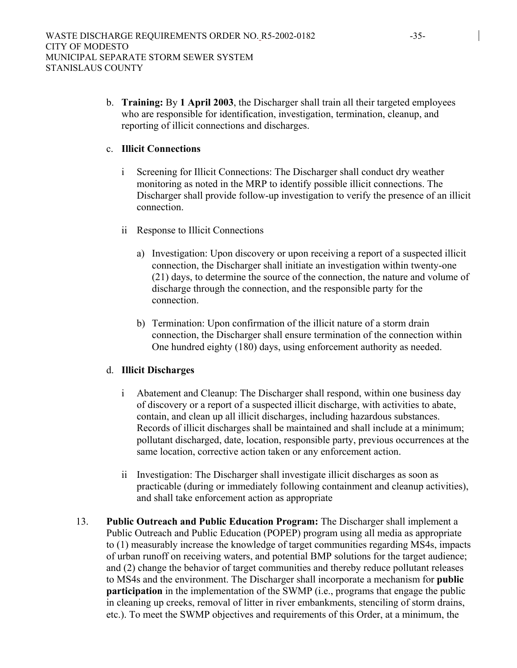b. **Training:** By **1 April 2003**, the Discharger shall train all their targeted employees who are responsible for identification, investigation, termination, cleanup, and reporting of illicit connections and discharges.

#### c. **Illicit Connections**

- i Screening for Illicit Connections: The Discharger shall conduct dry weather monitoring as noted in the MRP to identify possible illicit connections. The Discharger shall provide follow-up investigation to verify the presence of an illicit connection.
- ii Response to Illicit Connections
	- a) Investigation: Upon discovery or upon receiving a report of a suspected illicit connection, the Discharger shall initiate an investigation within twenty-one (21) days, to determine the source of the connection, the nature and volume of discharge through the connection, and the responsible party for the connection.
	- b) Termination: Upon confirmation of the illicit nature of a storm drain connection, the Discharger shall ensure termination of the connection within One hundred eighty (180) days, using enforcement authority as needed.

### d. **Illicit Discharges**

- i Abatement and Cleanup: The Discharger shall respond, within one business day of discovery or a report of a suspected illicit discharge, with activities to abate, contain, and clean up all illicit discharges, including hazardous substances. Records of illicit discharges shall be maintained and shall include at a minimum; pollutant discharged, date, location, responsible party, previous occurrences at the same location, corrective action taken or any enforcement action.
- ii Investigation: The Discharger shall investigate illicit discharges as soon as practicable (during or immediately following containment and cleanup activities), and shall take enforcement action as appropriate
- 13. **Public Outreach and Public Education Program:** The Discharger shall implement a Public Outreach and Public Education (POPEP) program using all media as appropriate to (1) measurably increase the knowledge of target communities regarding MS4s, impacts of urban runoff on receiving waters, and potential BMP solutions for the target audience; and (2) change the behavior of target communities and thereby reduce pollutant releases to MS4s and the environment. The Discharger shall incorporate a mechanism for **public participation** in the implementation of the SWMP (i.e., programs that engage the public in cleaning up creeks, removal of litter in river embankments, stenciling of storm drains, etc.). To meet the SWMP objectives and requirements of this Order, at a minimum, the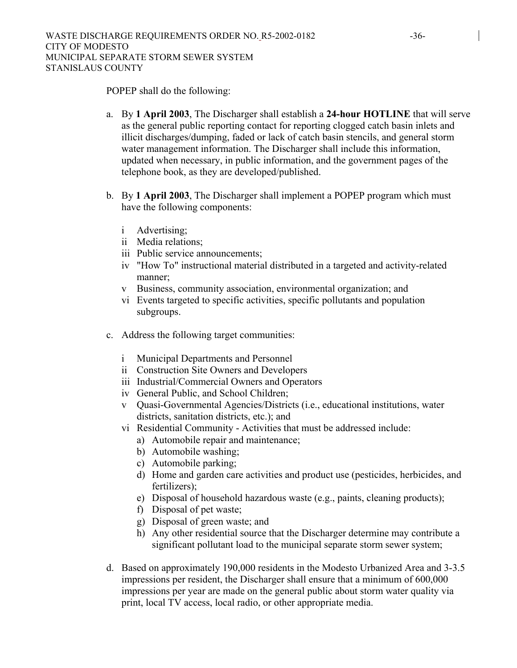POPEP shall do the following:

- a. By **1 April 2003**, The Discharger shall establish a **24-hour HOTLINE** that will serve as the general public reporting contact for reporting clogged catch basin inlets and illicit discharges/dumping, faded or lack of catch basin stencils, and general storm water management information. The Discharger shall include this information, updated when necessary, in public information, and the government pages of the telephone book, as they are developed/published.
- b. By **1 April 2003**, The Discharger shall implement a POPEP program which must have the following components:
	- i Advertising;
	- ii Media relations;
	- iii Public service announcements;
	- iv "How To" instructional material distributed in a targeted and activity-related manner;
	- v Business, community association, environmental organization; and
	- vi Events targeted to specific activities, specific pollutants and population subgroups.
- c. Address the following target communities:
	- i Municipal Departments and Personnel
	- ii Construction Site Owners and Developers
	- iii Industrial/Commercial Owners and Operators
	- iv General Public, and School Children;
	- v Quasi-Governmental Agencies/Districts (i.e., educational institutions, water districts, sanitation districts, etc.); and
	- vi Residential Community Activities that must be addressed include:
		- a) Automobile repair and maintenance;
		- b) Automobile washing;
		- c) Automobile parking;
		- d) Home and garden care activities and product use (pesticides, herbicides, and fertilizers);
		- e) Disposal of household hazardous waste (e.g., paints, cleaning products);
		- f) Disposal of pet waste;
		- g) Disposal of green waste; and
		- h) Any other residential source that the Discharger determine may contribute a significant pollutant load to the municipal separate storm sewer system;
- d. Based on approximately 190,000 residents in the Modesto Urbanized Area and 3-3.5 impressions per resident, the Discharger shall ensure that a minimum of 600,000 impressions per year are made on the general public about storm water quality via print, local TV access, local radio, or other appropriate media.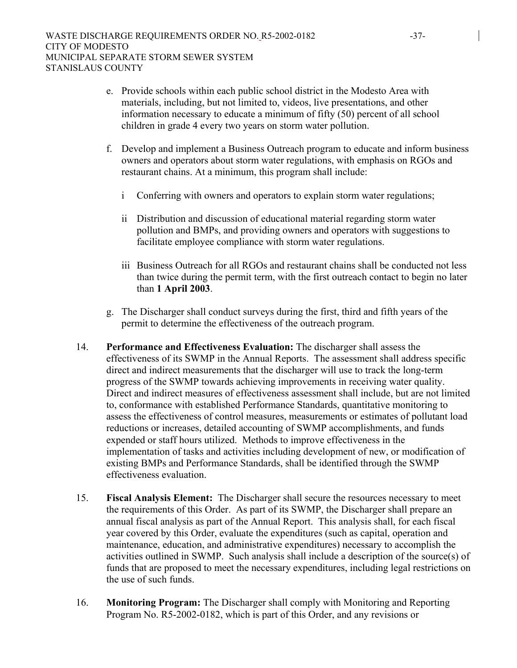- e. Provide schools within each public school district in the Modesto Area with materials, including, but not limited to, videos, live presentations, and other information necessary to educate a minimum of fifty (50) percent of all school children in grade 4 every two years on storm water pollution.
- f. Develop and implement a Business Outreach program to educate and inform business owners and operators about storm water regulations, with emphasis on RGOs and restaurant chains. At a minimum, this program shall include:
	- i Conferring with owners and operators to explain storm water regulations;
	- ii Distribution and discussion of educational material regarding storm water pollution and BMPs, and providing owners and operators with suggestions to facilitate employee compliance with storm water regulations.
	- iii Business Outreach for all RGOs and restaurant chains shall be conducted not less than twice during the permit term, with the first outreach contact to begin no later than **1 April 2003**.
- g. The Discharger shall conduct surveys during the first, third and fifth years of the permit to determine the effectiveness of the outreach program.
- 14. **Performance and Effectiveness Evaluation:** The discharger shall assess the effectiveness of its SWMP in the Annual Reports. The assessment shall address specific direct and indirect measurements that the discharger will use to track the long-term progress of the SWMP towards achieving improvements in receiving water quality. Direct and indirect measures of effectiveness assessment shall include, but are not limited to, conformance with established Performance Standards, quantitative monitoring to assess the effectiveness of control measures, measurements or estimates of pollutant load reductions or increases, detailed accounting of SWMP accomplishments, and funds expended or staff hours utilized. Methods to improve effectiveness in the implementation of tasks and activities including development of new, or modification of existing BMPs and Performance Standards, shall be identified through the SWMP effectiveness evaluation.
- 15. **Fiscal Analysis Element:** The Discharger shall secure the resources necessary to meet the requirements of this Order. As part of its SWMP, the Discharger shall prepare an annual fiscal analysis as part of the Annual Report. This analysis shall, for each fiscal year covered by this Order, evaluate the expenditures (such as capital, operation and maintenance, education, and administrative expenditures) necessary to accomplish the activities outlined in SWMP. Such analysis shall include a description of the source(s) of funds that are proposed to meet the necessary expenditures, including legal restrictions on the use of such funds.
- 16. **Monitoring Program:** The Discharger shall comply with Monitoring and Reporting Program No. R5-2002-0182, which is part of this Order, and any revisions or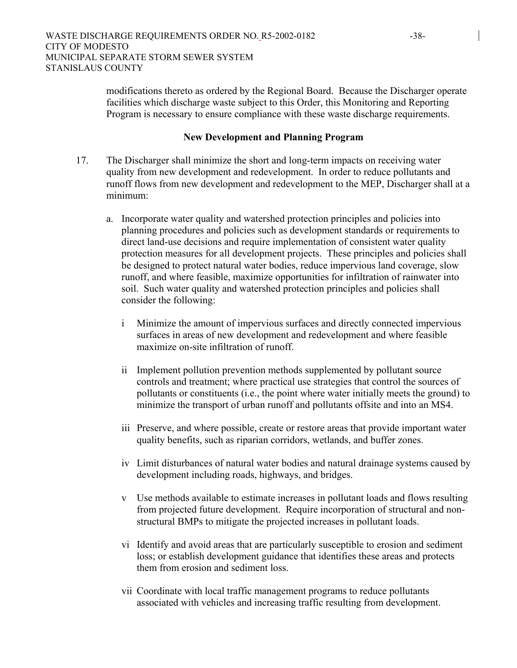modifications thereto as ordered by the Regional Board. Because the Discharger operate facilities which discharge waste subject to this Order, this Monitoring and Reporting Program is necessary to ensure compliance with these waste discharge requirements.

#### **New Development and Planning Program**

- 17. The Discharger shall minimize the short and long-term impacts on receiving water quality from new development and redevelopment. In order to reduce pollutants and runoff flows from new development and redevelopment to the MEP, Discharger shall at a minimum:
	- a. Incorporate water quality and watershed protection principles and policies into planning procedures and policies such as development standards or requirements to direct land-use decisions and require implementation of consistent water quality protection measures for all development projects. These principles and policies shall be designed to protect natural water bodies, reduce impervious land coverage, slow runoff, and where feasible, maximize opportunities for infiltration of rainwater into soil. Such water quality and watershed protection principles and policies shall consider the following:
		- i Minimize the amount of impervious surfaces and directly connected impervious surfaces in areas of new development and redevelopment and where feasible maximize on-site infiltration of runoff.
		- ii Implement pollution prevention methods supplemented by pollutant source controls and treatment; where practical use strategies that control the sources of pollutants or constituents (i.e., the point where water initially meets the ground) to minimize the transport of urban runoff and pollutants offsite and into an MS4.
		- iii Preserve, and where possible, create or restore areas that provide important water quality benefits, such as riparian corridors, wetlands, and buffer zones.
		- iv Limit disturbances of natural water bodies and natural drainage systems caused by development including roads, highways, and bridges.
		- v Use methods available to estimate increases in pollutant loads and flows resulting from projected future development. Require incorporation of structural and nonstructural BMPs to mitigate the projected increases in pollutant loads.
		- vi Identify and avoid areas that are particularly susceptible to erosion and sediment loss; or establish development guidance that identifies these areas and protects them from erosion and sediment loss.
		- vii Coordinate with local traffic management programs to reduce pollutants associated with vehicles and increasing traffic resulting from development.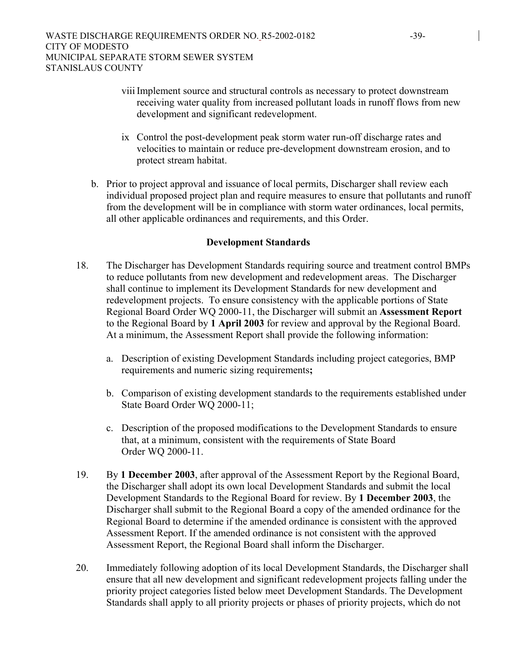- viii Implement source and structural controls as necessary to protect downstream receiving water quality from increased pollutant loads in runoff flows from new development and significant redevelopment.
- ix Control the post-development peak storm water run-off discharge rates and velocities to maintain or reduce pre-development downstream erosion, and to protect stream habitat.
- b. Prior to project approval and issuance of local permits, Discharger shall review each individual proposed project plan and require measures to ensure that pollutants and runoff from the development will be in compliance with storm water ordinances, local permits, all other applicable ordinances and requirements, and this Order.

### **Development Standards**

- 18. The Discharger has Development Standards requiring source and treatment control BMPs to reduce pollutants from new development and redevelopment areas. The Discharger shall continue to implement its Development Standards for new development and redevelopment projects. To ensure consistency with the applicable portions of State Regional Board Order WQ 2000-11, the Discharger will submit an **Assessment Report** to the Regional Board by **1 April 2003** for review and approval by the Regional Board. At a minimum, the Assessment Report shall provide the following information:
	- a. Description of existing Development Standards including project categories, BMP requirements and numeric sizing requirements**;**
	- b. Comparison of existing development standards to the requirements established under State Board Order WQ 2000-11;
	- c. Description of the proposed modifications to the Development Standards to ensure that, at a minimum, consistent with the requirements of State Board Order WQ 2000-11.
- 19. By **1 December 2003**, after approval of the Assessment Report by the Regional Board, the Discharger shall adopt its own local Development Standards and submit the local Development Standards to the Regional Board for review. By **1 December 2003**, the Discharger shall submit to the Regional Board a copy of the amended ordinance for the Regional Board to determine if the amended ordinance is consistent with the approved Assessment Report. If the amended ordinance is not consistent with the approved Assessment Report, the Regional Board shall inform the Discharger.
- 20. Immediately following adoption of its local Development Standards, the Discharger shall ensure that all new development and significant redevelopment projects falling under the priority project categories listed below meet Development Standards. The Development Standards shall apply to all priority projects or phases of priority projects, which do not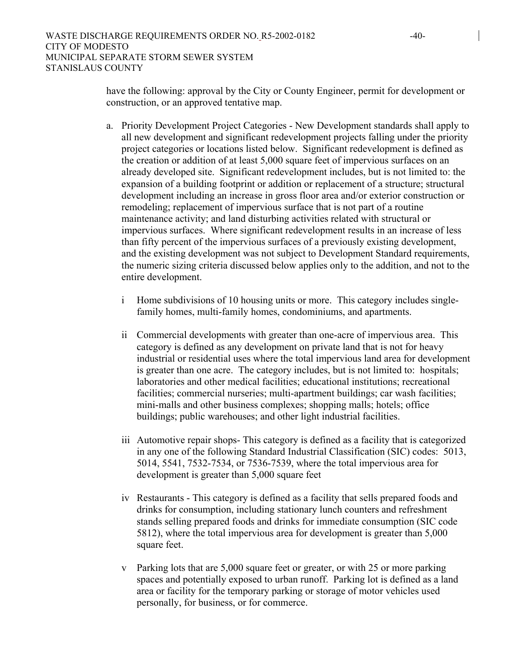have the following: approval by the City or County Engineer, permit for development or construction, or an approved tentative map.

- a. Priority Development Project Categories New Development standards shall apply to all new development and significant redevelopment projects falling under the priority project categories or locations listed below. Significant redevelopment is defined as the creation or addition of at least 5,000 square feet of impervious surfaces on an already developed site. Significant redevelopment includes, but is not limited to: the expansion of a building footprint or addition or replacement of a structure; structural development including an increase in gross floor area and/or exterior construction or remodeling; replacement of impervious surface that is not part of a routine maintenance activity; and land disturbing activities related with structural or impervious surfaces. Where significant redevelopment results in an increase of less than fifty percent of the impervious surfaces of a previously existing development, and the existing development was not subject to Development Standard requirements, the numeric sizing criteria discussed below applies only to the addition, and not to the entire development.
	- i Home subdivisions of 10 housing units or more. This category includes singlefamily homes, multi-family homes, condominiums, and apartments.
	- ii Commercial developments with greater than one-acre of impervious area. This category is defined as any development on private land that is not for heavy industrial or residential uses where the total impervious land area for development is greater than one acre. The category includes, but is not limited to: hospitals; laboratories and other medical facilities; educational institutions; recreational facilities; commercial nurseries; multi-apartment buildings; car wash facilities; mini-malls and other business complexes; shopping malls; hotels; office buildings; public warehouses; and other light industrial facilities.
	- iii Automotive repair shops- This category is defined as a facility that is categorized in any one of the following Standard Industrial Classification (SIC) codes: 5013, 5014, 5541, 7532-7534, or 7536-7539, where the total impervious area for development is greater than 5,000 square feet
	- iv Restaurants This category is defined as a facility that sells prepared foods and drinks for consumption, including stationary lunch counters and refreshment stands selling prepared foods and drinks for immediate consumption (SIC code 5812), where the total impervious area for development is greater than 5,000 square feet.
	- v Parking lots that are 5,000 square feet or greater, or with 25 or more parking spaces and potentially exposed to urban runoff. Parking lot is defined as a land area or facility for the temporary parking or storage of motor vehicles used personally, for business, or for commerce.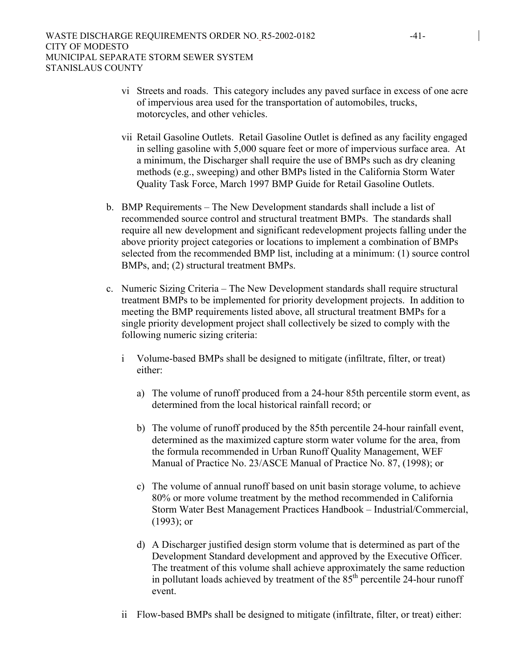- vi Streets and roads. This category includes any paved surface in excess of one acre of impervious area used for the transportation of automobiles, trucks, motorcycles, and other vehicles.
- vii Retail Gasoline Outlets. Retail Gasoline Outlet is defined as any facility engaged in selling gasoline with 5,000 square feet or more of impervious surface area. At a minimum, the Discharger shall require the use of BMPs such as dry cleaning methods (e.g., sweeping) and other BMPs listed in the California Storm Water Quality Task Force, March 1997 BMP Guide for Retail Gasoline Outlets.
- b. BMP Requirements The New Development standards shall include a list of recommended source control and structural treatment BMPs. The standards shall require all new development and significant redevelopment projects falling under the above priority project categories or locations to implement a combination of BMPs selected from the recommended BMP list, including at a minimum: (1) source control BMPs, and; (2) structural treatment BMPs.
- c. Numeric Sizing Criteria The New Development standards shall require structural treatment BMPs to be implemented for priority development projects. In addition to meeting the BMP requirements listed above, all structural treatment BMPs for a single priority development project shall collectively be sized to comply with the following numeric sizing criteria:
	- i Volume-based BMPs shall be designed to mitigate (infiltrate, filter, or treat) either:
		- a) The volume of runoff produced from a 24-hour 85th percentile storm event, as determined from the local historical rainfall record; or
		- b) The volume of runoff produced by the 85th percentile 24-hour rainfall event, determined as the maximized capture storm water volume for the area, from the formula recommended in Urban Runoff Quality Management, WEF Manual of Practice No. 23/ASCE Manual of Practice No. 87, (1998); or
		- c) The volume of annual runoff based on unit basin storage volume, to achieve 80% or more volume treatment by the method recommended in California Storm Water Best Management Practices Handbook – Industrial/Commercial, (1993); or
		- d) A Discharger justified design storm volume that is determined as part of the Development Standard development and approved by the Executive Officer. The treatment of this volume shall achieve approximately the same reduction in pollutant loads achieved by treatment of the  $85<sup>th</sup>$  percentile 24-hour runoff event.
	- ii Flow-based BMPs shall be designed to mitigate (infiltrate, filter, or treat) either: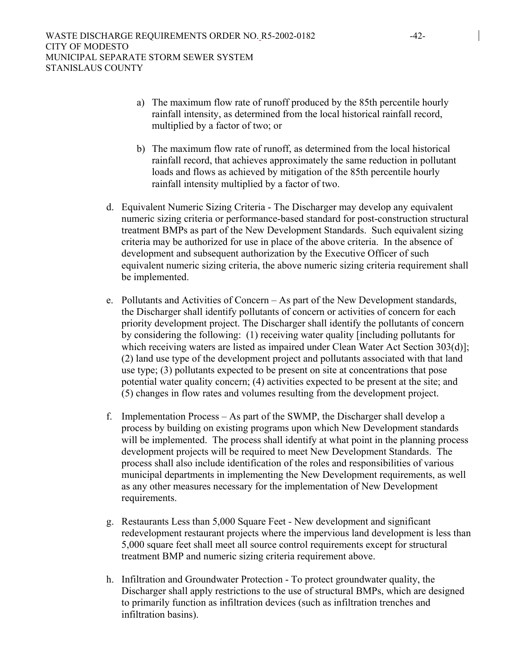- a) The maximum flow rate of runoff produced by the 85th percentile hourly rainfall intensity, as determined from the local historical rainfall record, multiplied by a factor of two; or
- b) The maximum flow rate of runoff, as determined from the local historical rainfall record, that achieves approximately the same reduction in pollutant loads and flows as achieved by mitigation of the 85th percentile hourly rainfall intensity multiplied by a factor of two.
- d. Equivalent Numeric Sizing Criteria The Discharger may develop any equivalent numeric sizing criteria or performance-based standard for post-construction structural treatment BMPs as part of the New Development Standards. Such equivalent sizing criteria may be authorized for use in place of the above criteria. In the absence of development and subsequent authorization by the Executive Officer of such equivalent numeric sizing criteria, the above numeric sizing criteria requirement shall be implemented.
- e. Pollutants and Activities of Concern As part of the New Development standards, the Discharger shall identify pollutants of concern or activities of concern for each priority development project. The Discharger shall identify the pollutants of concern by considering the following: (1) receiving water quality [including pollutants for which receiving waters are listed as impaired under Clean Water Act Section 303(d)]; (2) land use type of the development project and pollutants associated with that land use type; (3) pollutants expected to be present on site at concentrations that pose potential water quality concern; (4) activities expected to be present at the site; and (5) changes in flow rates and volumes resulting from the development project.
- f. Implementation Process As part of the SWMP, the Discharger shall develop a process by building on existing programs upon which New Development standards will be implemented. The process shall identify at what point in the planning process development projects will be required to meet New Development Standards. The process shall also include identification of the roles and responsibilities of various municipal departments in implementing the New Development requirements, as well as any other measures necessary for the implementation of New Development requirements.
- g. Restaurants Less than 5,000 Square Feet New development and significant redevelopment restaurant projects where the impervious land development is less than 5,000 square feet shall meet all source control requirements except for structural treatment BMP and numeric sizing criteria requirement above.
- h. Infiltration and Groundwater Protection To protect groundwater quality, the Discharger shall apply restrictions to the use of structural BMPs, which are designed to primarily function as infiltration devices (such as infiltration trenches and infiltration basins).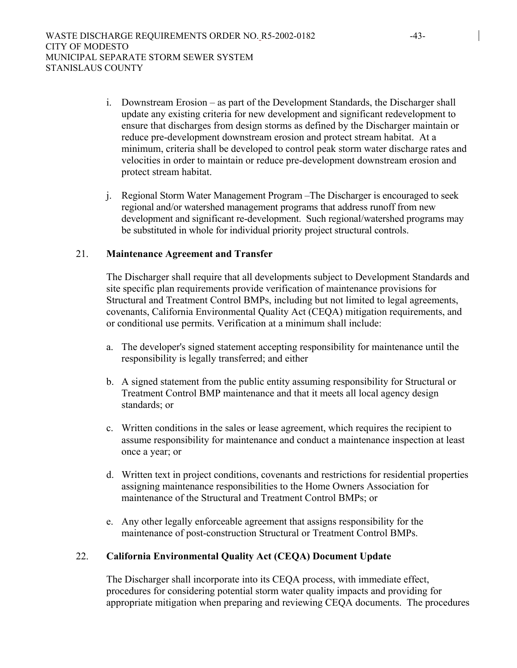- i. Downstream Erosion as part of the Development Standards, the Discharger shall update any existing criteria for new development and significant redevelopment to ensure that discharges from design storms as defined by the Discharger maintain or reduce pre-development downstream erosion and protect stream habitat. At a minimum, criteria shall be developed to control peak storm water discharge rates and velocities in order to maintain or reduce pre-development downstream erosion and protect stream habitat.
- j. Regional Storm Water Management Program –The Discharger is encouraged to seek regional and/or watershed management programs that address runoff from new development and significant re-development. Such regional/watershed programs may be substituted in whole for individual priority project structural controls.

#### 21. **Maintenance Agreement and Transfer**

The Discharger shall require that all developments subject to Development Standards and site specific plan requirements provide verification of maintenance provisions for Structural and Treatment Control BMPs, including but not limited to legal agreements, covenants, California Environmental Quality Act (CEQA) mitigation requirements, and or conditional use permits. Verification at a minimum shall include:

- a. The developer's signed statement accepting responsibility for maintenance until the responsibility is legally transferred; and either
- b. A signed statement from the public entity assuming responsibility for Structural or Treatment Control BMP maintenance and that it meets all local agency design standards; or
- c. Written conditions in the sales or lease agreement, which requires the recipient to assume responsibility for maintenance and conduct a maintenance inspection at least once a year; or
- d. Written text in project conditions, covenants and restrictions for residential properties assigning maintenance responsibilities to the Home Owners Association for maintenance of the Structural and Treatment Control BMPs; or
- e. Any other legally enforceable agreement that assigns responsibility for the maintenance of post-construction Structural or Treatment Control BMPs.

# 22. **California Environmental Quality Act (CEQA) Document Update**

The Discharger shall incorporate into its CEQA process, with immediate effect, procedures for considering potential storm water quality impacts and providing for appropriate mitigation when preparing and reviewing CEQA documents. The procedures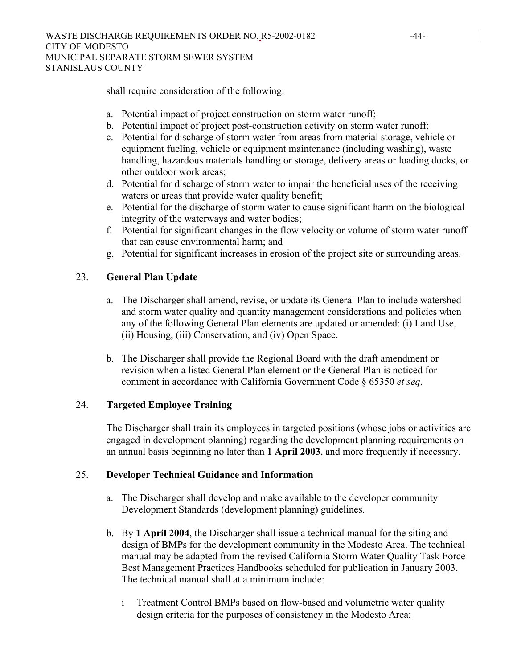shall require consideration of the following:

- a. Potential impact of project construction on storm water runoff;
- b. Potential impact of project post-construction activity on storm water runoff;
- c. Potential for discharge of storm water from areas from material storage, vehicle or equipment fueling, vehicle or equipment maintenance (including washing), waste handling, hazardous materials handling or storage, delivery areas or loading docks, or other outdoor work areas;
- d. Potential for discharge of storm water to impair the beneficial uses of the receiving waters or areas that provide water quality benefit;
- e. Potential for the discharge of storm water to cause significant harm on the biological integrity of the waterways and water bodies;
- f. Potential for significant changes in the flow velocity or volume of storm water runoff that can cause environmental harm; and
- g. Potential for significant increases in erosion of the project site or surrounding areas.

### 23. **General Plan Update**

- a. The Discharger shall amend, revise, or update its General Plan to include watershed and storm water quality and quantity management considerations and policies when any of the following General Plan elements are updated or amended: (i) Land Use, (ii) Housing, (iii) Conservation, and (iv) Open Space.
- b. The Discharger shall provide the Regional Board with the draft amendment or revision when a listed General Plan element or the General Plan is noticed for comment in accordance with California Government Code § 65350 *et seq*.

### 24. **Targeted Employee Training**

The Discharger shall train its employees in targeted positions (whose jobs or activities are engaged in development planning) regarding the development planning requirements on an annual basis beginning no later than **1 April 2003**, and more frequently if necessary.

### 25. **Developer Technical Guidance and Information**

- a. The Discharger shall develop and make available to the developer community Development Standards (development planning) guidelines.
- b. By **1 April 2004**, the Discharger shall issue a technical manual for the siting and design of BMPs for the development community in the Modesto Area. The technical manual may be adapted from the revised California Storm Water Quality Task Force Best Management Practices Handbooks scheduled for publication in January 2003. The technical manual shall at a minimum include:
	- i Treatment Control BMPs based on flow-based and volumetric water quality design criteria for the purposes of consistency in the Modesto Area;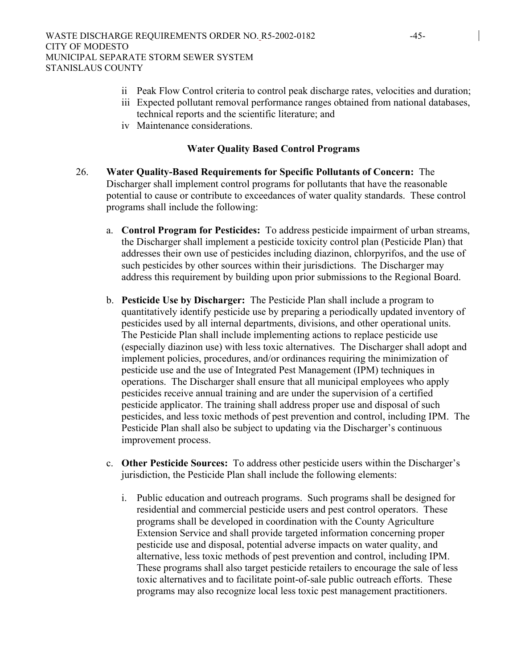- ii Peak Flow Control criteria to control peak discharge rates, velocities and duration;
- iii Expected pollutant removal performance ranges obtained from national databases, technical reports and the scientific literature; and
- iv Maintenance considerations.

#### **Water Quality Based Control Programs**

- 26. **Water Quality-Based Requirements for Specific Pollutants of Concern:** The Discharger shall implement control programs for pollutants that have the reasonable potential to cause or contribute to exceedances of water quality standards. These control programs shall include the following:
	- a. **Control Program for Pesticides:** To address pesticide impairment of urban streams, the Discharger shall implement a pesticide toxicity control plan (Pesticide Plan) that addresses their own use of pesticides including diazinon, chlorpyrifos, and the use of such pesticides by other sources within their jurisdictions. The Discharger may address this requirement by building upon prior submissions to the Regional Board.
	- b. **Pesticide Use by Discharger:** The Pesticide Plan shall include a program to quantitatively identify pesticide use by preparing a periodically updated inventory of pesticides used by all internal departments, divisions, and other operational units. The Pesticide Plan shall include implementing actions to replace pesticide use (especially diazinon use) with less toxic alternatives. The Discharger shall adopt and implement policies, procedures, and/or ordinances requiring the minimization of pesticide use and the use of Integrated Pest Management (IPM) techniques in operations. The Discharger shall ensure that all municipal employees who apply pesticides receive annual training and are under the supervision of a certified pesticide applicator. The training shall address proper use and disposal of such pesticides, and less toxic methods of pest prevention and control, including IPM. The Pesticide Plan shall also be subject to updating via the Discharger's continuous improvement process.
	- c. **Other Pesticide Sources:** To address other pesticide users within the Discharger's jurisdiction, the Pesticide Plan shall include the following elements:
		- i. Public education and outreach programs. Such programs shall be designed for residential and commercial pesticide users and pest control operators. These programs shall be developed in coordination with the County Agriculture Extension Service and shall provide targeted information concerning proper pesticide use and disposal, potential adverse impacts on water quality, and alternative, less toxic methods of pest prevention and control, including IPM. These programs shall also target pesticide retailers to encourage the sale of less toxic alternatives and to facilitate point-of-sale public outreach efforts. These programs may also recognize local less toxic pest management practitioners.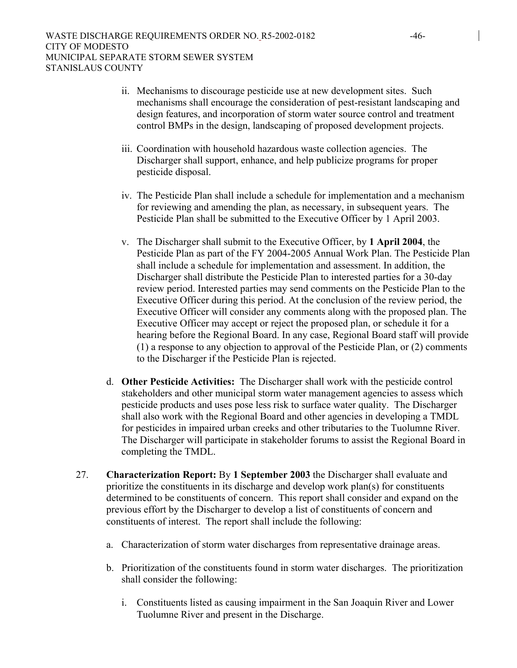- ii. Mechanisms to discourage pesticide use at new development sites. Such mechanisms shall encourage the consideration of pest-resistant landscaping and design features, and incorporation of storm water source control and treatment control BMPs in the design, landscaping of proposed development projects.
- iii. Coordination with household hazardous waste collection agencies. The Discharger shall support, enhance, and help publicize programs for proper pesticide disposal.
- iv. The Pesticide Plan shall include a schedule for implementation and a mechanism for reviewing and amending the plan, as necessary, in subsequent years. The Pesticide Plan shall be submitted to the Executive Officer by 1 April 2003.
- v. The Discharger shall submit to the Executive Officer, by **1 April 2004**, the Pesticide Plan as part of the FY 2004-2005 Annual Work Plan. The Pesticide Plan shall include a schedule for implementation and assessment. In addition, the Discharger shall distribute the Pesticide Plan to interested parties for a 30-day review period. Interested parties may send comments on the Pesticide Plan to the Executive Officer during this period. At the conclusion of the review period, the Executive Officer will consider any comments along with the proposed plan. The Executive Officer may accept or reject the proposed plan, or schedule it for a hearing before the Regional Board. In any case, Regional Board staff will provide (1) a response to any objection to approval of the Pesticide Plan, or (2) comments to the Discharger if the Pesticide Plan is rejected.
- d. **Other Pesticide Activities:** The Discharger shall work with the pesticide control stakeholders and other municipal storm water management agencies to assess which pesticide products and uses pose less risk to surface water quality. The Discharger shall also work with the Regional Board and other agencies in developing a TMDL for pesticides in impaired urban creeks and other tributaries to the Tuolumne River. The Discharger will participate in stakeholder forums to assist the Regional Board in completing the TMDL.
- 27. **Characterization Report:** By **1 September 2003** the Discharger shall evaluate and prioritize the constituents in its discharge and develop work plan(s) for constituents determined to be constituents of concern. This report shall consider and expand on the previous effort by the Discharger to develop a list of constituents of concern and constituents of interest. The report shall include the following:
	- a. Characterization of storm water discharges from representative drainage areas.
	- b. Prioritization of the constituents found in storm water discharges. The prioritization shall consider the following:
		- i. Constituents listed as causing impairment in the San Joaquin River and Lower Tuolumne River and present in the Discharge.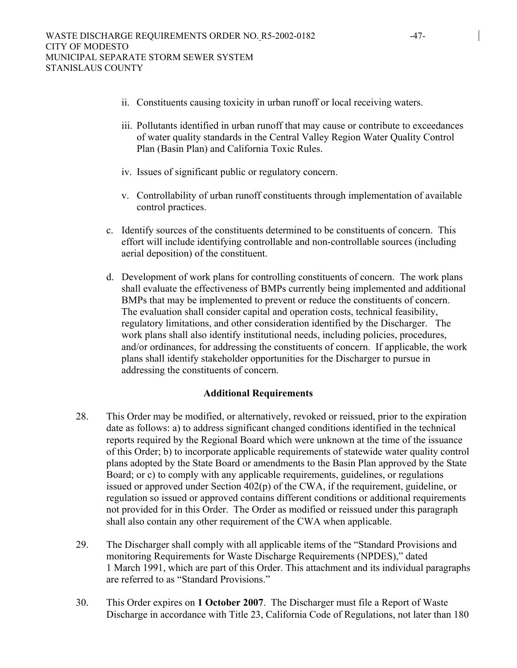- ii. Constituents causing toxicity in urban runoff or local receiving waters.
- iii. Pollutants identified in urban runoff that may cause or contribute to exceedances of water quality standards in the Central Valley Region Water Quality Control Plan (Basin Plan) and California Toxic Rules.
- iv. Issues of significant public or regulatory concern.
- v. Controllability of urban runoff constituents through implementation of available control practices.
- c. Identify sources of the constituents determined to be constituents of concern. This effort will include identifying controllable and non-controllable sources (including aerial deposition) of the constituent.
- d. Development of work plans for controlling constituents of concern. The work plans shall evaluate the effectiveness of BMPs currently being implemented and additional BMPs that may be implemented to prevent or reduce the constituents of concern. The evaluation shall consider capital and operation costs, technical feasibility, regulatory limitations, and other consideration identified by the Discharger. The work plans shall also identify institutional needs, including policies, procedures, and/or ordinances, for addressing the constituents of concern. If applicable, the work plans shall identify stakeholder opportunities for the Discharger to pursue in addressing the constituents of concern.

### **Additional Requirements**

- 28. This Order may be modified, or alternatively, revoked or reissued, prior to the expiration date as follows: a) to address significant changed conditions identified in the technical reports required by the Regional Board which were unknown at the time of the issuance of this Order; b) to incorporate applicable requirements of statewide water quality control plans adopted by the State Board or amendments to the Basin Plan approved by the State Board; or c) to comply with any applicable requirements, guidelines, or regulations issued or approved under Section 402(p) of the CWA, if the requirement, guideline, or regulation so issued or approved contains different conditions or additional requirements not provided for in this Order. The Order as modified or reissued under this paragraph shall also contain any other requirement of the CWA when applicable.
- 29. The Discharger shall comply with all applicable items of the "Standard Provisions and monitoring Requirements for Waste Discharge Requirements (NPDES)," dated 1 March 1991, which are part of this Order. This attachment and its individual paragraphs are referred to as "Standard Provisions."
- 30. This Order expires on **1 October 2007**. The Discharger must file a Report of Waste Discharge in accordance with Title 23, California Code of Regulations, not later than 180